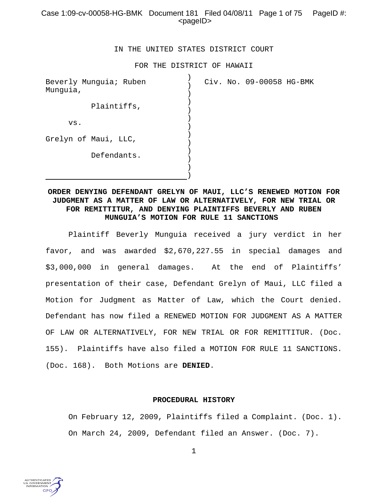# Case 1:09-cv-00058-HG-BMK Document 181 Filed 04/08/11 Page 1 of 75 PageID #: <pageID>

### IN THE UNITED STATES DISTRICT COURT

#### FOR THE DISTRICT OF HAWAII

|  | Civ. No. 09-00058 HG-BMK |
|--|--------------------------|

# **ORDER DENYING DEFENDANT GRELYN OF MAUI, LLC'S RENEWED MOTION FOR JUDGMENT AS A MATTER OF LAW OR ALTERNATIVELY, FOR NEW TRIAL OR FOR REMITTITUR, AND DENYING PLAINTIFFS BEVERLY AND RUBEN MUNGUIA'S MOTION FOR RULE 11 SANCTIONS**

Plaintiff Beverly Munguia received a jury verdict in her favor, and was awarded \$2,670,227.55 in special damages and \$3,000,000 in general damages. At the end of Plaintiffs' presentation of their case, Defendant Grelyn of Maui, LLC filed a Motion for Judgment as Matter of Law, which the Court denied. Defendant has now filed a RENEWED MOTION FOR JUDGMENT AS A MATTER OF LAW OR ALTERNATIVELY, FOR NEW TRIAL OR FOR REMITTITUR. (Doc. 155). Plaintiffs have also filed a MOTION FOR RULE 11 SANCTIONS. (Doc. 168). Both Motions are **DENIED**.

### **PROCEDURAL HISTORY**

On February 12, 2009, Plaintiffs filed a Complaint. (Doc. 1). On March 24, 2009, Defendant filed an Answer. (Doc. 7).

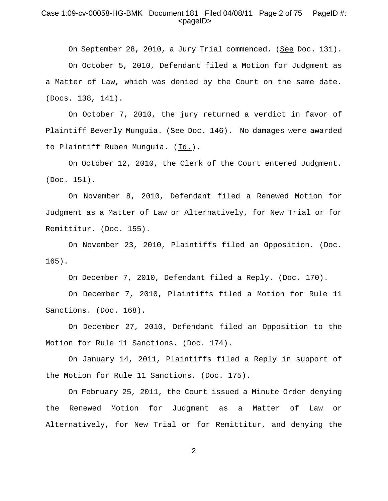# Case 1:09-cv-00058-HG-BMK Document 181 Filed 04/08/11 Page 2 of 75 PageID #:  $<$ pageID $>$

On September 28, 2010, a Jury Trial commenced. (See Doc. 131). On October 5, 2010, Defendant filed a Motion for Judgment as a Matter of Law, which was denied by the Court on the same date. (Docs. 138, 141).

On October 7, 2010, the jury returned a verdict in favor of Plaintiff Beverly Munguia. (See Doc. 146). No damages were awarded to Plaintiff Ruben Munguia. (Id.).

On October 12, 2010, the Clerk of the Court entered Judgment. (Doc. 151).

On November 8, 2010, Defendant filed a Renewed Motion for Judgment as a Matter of Law or Alternatively, for New Trial or for Remittitur. (Doc. 155).

On November 23, 2010, Plaintiffs filed an Opposition. (Doc. 165).

On December 7, 2010, Defendant filed a Reply. (Doc. 170).

On December 7, 2010, Plaintiffs filed a Motion for Rule 11 Sanctions. (Doc. 168).

On December 27, 2010, Defendant filed an Opposition to the Motion for Rule 11 Sanctions. (Doc. 174).

On January 14, 2011, Plaintiffs filed a Reply in support of the Motion for Rule 11 Sanctions. (Doc. 175).

On February 25, 2011, the Court issued a Minute Order denying the Renewed Motion for Judgment as a Matter of Law or Alternatively, for New Trial or for Remittitur, and denying the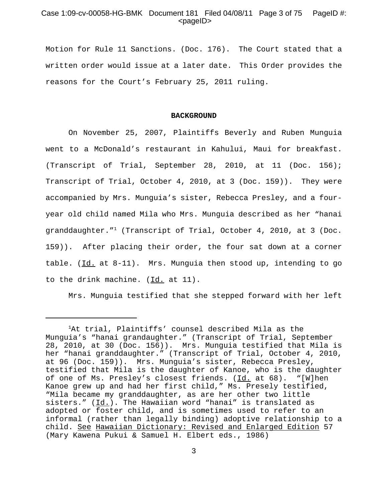# Case 1:09-cv-00058-HG-BMK Document 181 Filed 04/08/11 Page 3 of 75 PageID #:  $<$ pageID $>$

Motion for Rule 11 Sanctions. (Doc. 176). The Court stated that a written order would issue at a later date. This Order provides the reasons for the Court's February 25, 2011 ruling.

#### **BACKGROUND**

On November 25, 2007, Plaintiffs Beverly and Ruben Munguia went to a McDonald's restaurant in Kahului, Maui for breakfast. (Transcript of Trial, September 28, 2010, at 11 (Doc. 156); Transcript of Trial, October 4, 2010, at 3 (Doc. 159)). They were accompanied by Mrs. Munguia's sister, Rebecca Presley, and a fouryear old child named Mila who Mrs. Munguia described as her "hanai granddaughter."1 (Transcript of Trial, October 4, 2010, at 3 (Doc. 159)). After placing their order, the four sat down at a corner table. ( $\underline{Id.}$  at  $8-11$ ). Mrs. Munguia then stood up, intending to go to the drink machine.  $(\underline{Id.}$  at  $11)$ .

Mrs. Munguia testified that she stepped forward with her left

<sup>&</sup>lt;sup>1</sup>At trial, Plaintiffs' counsel described Mila as the Munguia's "hanai grandaughter." (Transcript of Trial, September 28, 2010, at 30 (Doc. 156)). Mrs. Munguia testified that Mila is her "hanai granddaughter." (Transcript of Trial, October 4, 2010, at 96 (Doc. 159)). Mrs. Munguia's sister, Rebecca Presley, testified that Mila is the daughter of Kanoe, who is the daughter of one of Ms. Presley's closest friends. (Id. at 68). "[W]hen Kanoe grew up and had her first child," Ms. Presely testified, "Mila became my granddaughter, as are her other two little sisters."  $(\underline{Id.})$ . The Hawaiian word "hanai" is translated as adopted or foster child, and is sometimes used to refer to an informal (rather than legally binding) adoptive relationship to a child. See Hawaiian Dictionary: Revised and Enlarged Edition 57 (Mary Kawena Pukui & Samuel H. Elbert eds., 1986)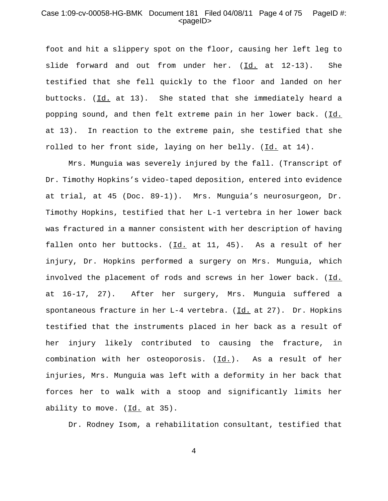# Case 1:09-cv-00058-HG-BMK Document 181 Filed 04/08/11 Page 4 of 75 PageID #: <pageID>

foot and hit a slippery spot on the floor, causing her left leg to slide forward and out from under her. (Id. at 12-13). She testified that she fell quickly to the floor and landed on her buttocks. (Id. at 13). She stated that she immediately heard a popping sound, and then felt extreme pain in her lower back. (Id. at 13). In reaction to the extreme pain, she testified that she rolled to her front side, laying on her belly. (Id. at 14).

Mrs. Munguia was severely injured by the fall. (Transcript of Dr. Timothy Hopkins's video-taped deposition, entered into evidence at trial, at 45 (Doc. 89-1)). Mrs. Munguia's neurosurgeon, Dr. Timothy Hopkins, testified that her L-1 vertebra in her lower back was fractured in a manner consistent with her description of having fallen onto her buttocks. (Id. at 11, 45). As a result of her injury, Dr. Hopkins performed a surgery on Mrs. Munguia, which involved the placement of rods and screws in her lower back. (Id. at 16-17, 27). After her surgery, Mrs. Munguia suffered a spontaneous fracture in her L-4 vertebra. (Id. at 27). Dr. Hopkins testified that the instruments placed in her back as a result of her injury likely contributed to causing the fracture, in combination with her osteoporosis. (Id.). As a result of her injuries, Mrs. Munguia was left with a deformity in her back that forces her to walk with a stoop and significantly limits her ability to move. (Id. at 35).

Dr. Rodney Isom, a rehabilitation consultant, testified that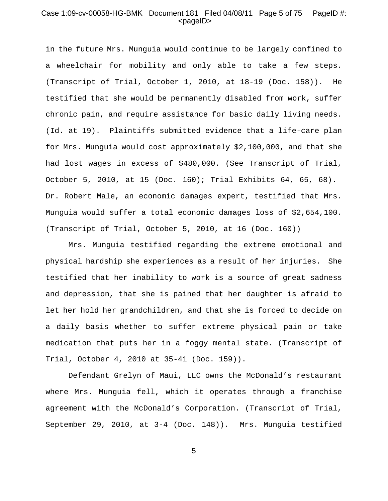# Case 1:09-cv-00058-HG-BMK Document 181 Filed 04/08/11 Page 5 of 75 PageID #: <pageID>

in the future Mrs. Munguia would continue to be largely confined to a wheelchair for mobility and only able to take a few steps. (Transcript of Trial, October 1, 2010, at 18-19 (Doc. 158)). He testified that she would be permanently disabled from work, suffer chronic pain, and require assistance for basic daily living needs. (Id. at 19). Plaintiffs submitted evidence that a life-care plan for Mrs. Munguia would cost approximately \$2,100,000, and that she had lost wages in excess of \$480,000. (See Transcript of Trial, October 5, 2010, at 15 (Doc. 160); Trial Exhibits 64, 65, 68). Dr. Robert Male, an economic damages expert, testified that Mrs. Munguia would suffer a total economic damages loss of \$2,654,100. (Transcript of Trial, October 5, 2010, at 16 (Doc. 160))

Mrs. Munguia testified regarding the extreme emotional and physical hardship she experiences as a result of her injuries. She testified that her inability to work is a source of great sadness and depression, that she is pained that her daughter is afraid to let her hold her grandchildren, and that she is forced to decide on a daily basis whether to suffer extreme physical pain or take medication that puts her in a foggy mental state. (Transcript of Trial, October 4, 2010 at 35-41 (Doc. 159)).

Defendant Grelyn of Maui, LLC owns the McDonald's restaurant where Mrs. Munguia fell, which it operates through a franchise agreement with the McDonald's Corporation. (Transcript of Trial, September 29, 2010, at 3-4 (Doc. 148)). Mrs. Munguia testified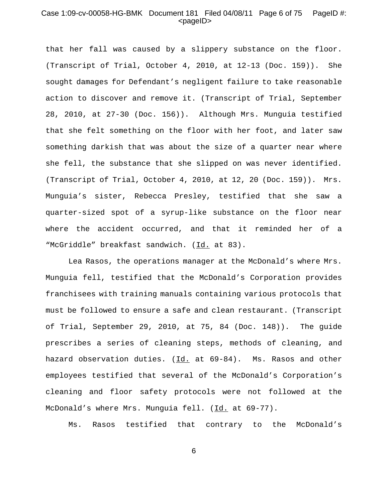## Case 1:09-cv-00058-HG-BMK Document 181 Filed 04/08/11 Page 6 of 75 PageID #: <pageID>

that her fall was caused by a slippery substance on the floor. (Transcript of Trial, October 4, 2010, at 12-13 (Doc. 159)). She sought damages for Defendant's negligent failure to take reasonable action to discover and remove it. (Transcript of Trial, September 28, 2010, at 27-30 (Doc. 156)). Although Mrs. Munguia testified that she felt something on the floor with her foot, and later saw something darkish that was about the size of a quarter near where she fell, the substance that she slipped on was never identified. (Transcript of Trial, October 4, 2010, at 12, 20 (Doc. 159)). Mrs. Munguia's sister, Rebecca Presley, testified that she saw a quarter-sized spot of a syrup-like substance on the floor near where the accident occurred, and that it reminded her of a "McGriddle" breakfast sandwich. (Id. at 83).

Lea Rasos, the operations manager at the McDonald's where Mrs. Munguia fell, testified that the McDonald's Corporation provides franchisees with training manuals containing various protocols that must be followed to ensure a safe and clean restaurant. (Transcript of Trial, September 29, 2010, at 75, 84 (Doc. 148)). The guide prescribes a series of cleaning steps, methods of cleaning, and hazard observation duties. (Id. at 69-84). Ms. Rasos and other employees testified that several of the McDonald's Corporation's cleaning and floor safety protocols were not followed at the McDonald's where Mrs. Munguia fell. (Id. at 69-77).

Ms. Rasos testified that contrary to the McDonald's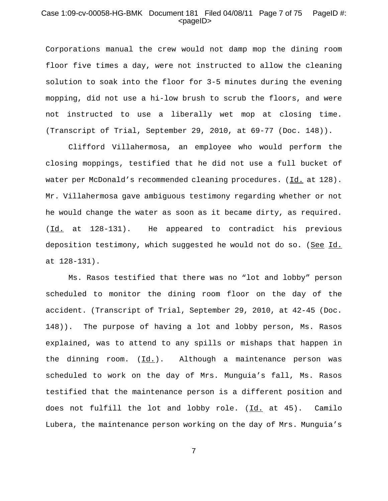# Case 1:09-cv-00058-HG-BMK Document 181 Filed 04/08/11 Page 7 of 75 PageID #: <pageID>

Corporations manual the crew would not damp mop the dining room floor five times a day, were not instructed to allow the cleaning solution to soak into the floor for 3-5 minutes during the evening mopping, did not use a hi-low brush to scrub the floors, and were not instructed to use a liberally wet mop at closing time. (Transcript of Trial, September 29, 2010, at 69-77 (Doc. 148)).

Clifford Villahermosa, an employee who would perform the closing moppings, testified that he did not use a full bucket of water per McDonald's recommended cleaning procedures. (Id. at 128). Mr. Villahermosa gave ambiguous testimony regarding whether or not he would change the water as soon as it became dirty, as required. (Id. at 128-131). He appeared to contradict his previous deposition testimony, which suggested he would not do so. (See Id. at 128-131).

Ms. Rasos testified that there was no "lot and lobby" person scheduled to monitor the dining room floor on the day of the accident. (Transcript of Trial, September 29, 2010, at 42-45 (Doc. 148)). The purpose of having a lot and lobby person, Ms. Rasos explained, was to attend to any spills or mishaps that happen in the dinning room. (Id.). Although a maintenance person was scheduled to work on the day of Mrs. Munguia's fall, Ms. Rasos testified that the maintenance person is a different position and does not fulfill the lot and lobby role. (Id. at 45). Camilo Lubera, the maintenance person working on the day of Mrs. Munguia's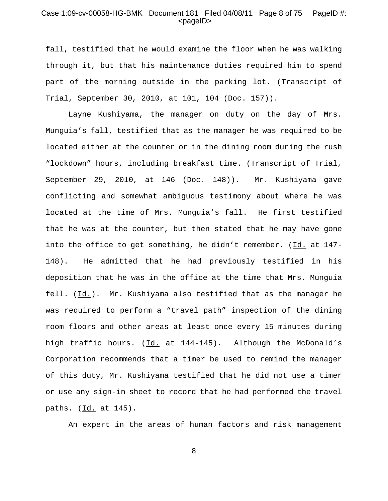# Case 1:09-cv-00058-HG-BMK Document 181 Filed 04/08/11 Page 8 of 75 PageID #: <pageID>

fall, testified that he would examine the floor when he was walking through it, but that his maintenance duties required him to spend part of the morning outside in the parking lot. (Transcript of Trial, September 30, 2010, at 101, 104 (Doc. 157)).

Layne Kushiyama, the manager on duty on the day of Mrs. Munguia's fall, testified that as the manager he was required to be located either at the counter or in the dining room during the rush "lockdown" hours, including breakfast time. (Transcript of Trial, September 29, 2010, at 146 (Doc. 148)). Mr. Kushiyama gave conflicting and somewhat ambiguous testimony about where he was located at the time of Mrs. Munguia's fall. He first testified that he was at the counter, but then stated that he may have gone into the office to get something, he didn't remember. (Id. at 147- 148). He admitted that he had previously testified in his deposition that he was in the office at the time that Mrs. Munguia fell.  $(\underline{Id.})$ . Mr. Kushiyama also testified that as the manager he was required to perform a "travel path" inspection of the dining room floors and other areas at least once every 15 minutes during high traffic hours. (Id. at 144-145). Although the McDonald's Corporation recommends that a timer be used to remind the manager of this duty, Mr. Kushiyama testified that he did not use a timer or use any sign-in sheet to record that he had performed the travel paths. (Id. at 145).

An expert in the areas of human factors and risk management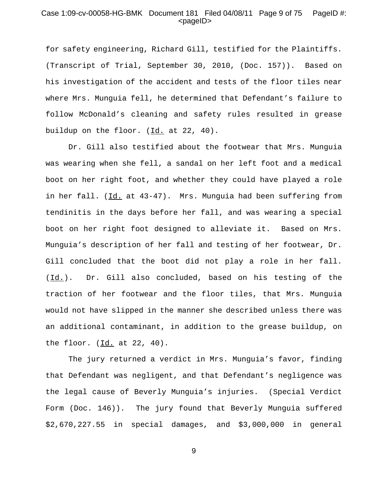# Case 1:09-cv-00058-HG-BMK Document 181 Filed 04/08/11 Page 9 of 75 PageID #: <pageID>

for safety engineering, Richard Gill, testified for the Plaintiffs. (Transcript of Trial, September 30, 2010, (Doc. 157)). Based on his investigation of the accident and tests of the floor tiles near where Mrs. Munguia fell, he determined that Defendant's failure to follow McDonald's cleaning and safety rules resulted in grease buildup on the floor. (Id. at 22, 40).

Dr. Gill also testified about the footwear that Mrs. Munguia was wearing when she fell, a sandal on her left foot and a medical boot on her right foot, and whether they could have played a role in her fall. (Id. at 43-47). Mrs. Munguia had been suffering from tendinitis in the days before her fall, and was wearing a special boot on her right foot designed to alleviate it. Based on Mrs. Munguia's description of her fall and testing of her footwear, Dr. Gill concluded that the boot did not play a role in her fall. (Id.). Dr. Gill also concluded, based on his testing of the traction of her footwear and the floor tiles, that Mrs. Munguia would not have slipped in the manner she described unless there was an additional contaminant, in addition to the grease buildup, on the floor.  $(\underline{Id.}$  at 22, 40).

The jury returned a verdict in Mrs. Munguia's favor, finding that Defendant was negligent, and that Defendant's negligence was the legal cause of Beverly Munguia's injuries. (Special Verdict Form (Doc. 146)). The jury found that Beverly Munguia suffered \$2,670,227.55 in special damages, and \$3,000,000 in general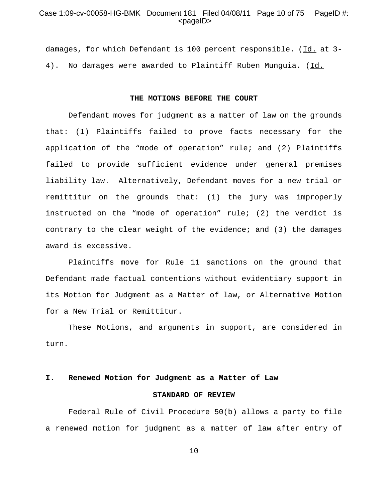### Case 1:09-cv-00058-HG-BMK Document 181 Filed 04/08/11 Page 10 of 75 PageID #: <pageID>

damages, for which Defendant is 100 percent responsible. (Id. at 3- 4). No damages were awarded to Plaintiff Ruben Munguia. (Id.

#### **THE MOTIONS BEFORE THE COURT**

Defendant moves for judgment as a matter of law on the grounds that: (1) Plaintiffs failed to prove facts necessary for the application of the "mode of operation" rule; and (2) Plaintiffs failed to provide sufficient evidence under general premises liability law. Alternatively, Defendant moves for a new trial or remittitur on the grounds that: (1) the jury was improperly instructed on the "mode of operation" rule; (2) the verdict is contrary to the clear weight of the evidence; and (3) the damages award is excessive.

Plaintiffs move for Rule 11 sanctions on the ground that Defendant made factual contentions without evidentiary support in its Motion for Judgment as a Matter of law, or Alternative Motion for a New Trial or Remittitur.

These Motions, and arguments in support, are considered in turn.

#### **I. Renewed Motion for Judgment as a Matter of Law**

#### **STANDARD OF REVIEW**

Federal Rule of Civil Procedure 50(b) allows a party to file a renewed motion for judgment as a matter of law after entry of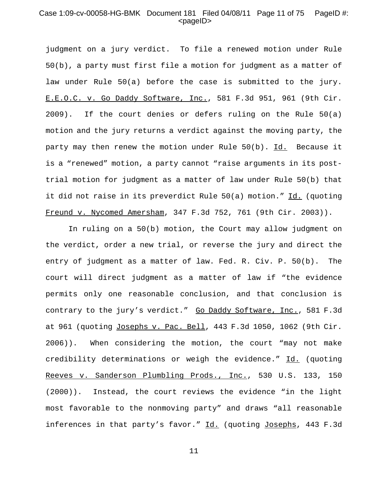# Case 1:09-cv-00058-HG-BMK Document 181 Filed 04/08/11 Page 11 of 75 PageID #: <pageID>

judgment on a jury verdict. To file a renewed motion under Rule 50(b), a party must first file a motion for judgment as a matter of law under Rule 50(a) before the case is submitted to the jury. E.E.O.C. v. Go Daddy Software, Inc., 581 F.3d 951, 961 (9th Cir. 2009). If the court denies or defers ruling on the Rule 50(a) motion and the jury returns a verdict against the moving party, the party may then renew the motion under Rule  $50(b)$ . Id. Because it is a "renewed" motion, a party cannot "raise arguments in its posttrial motion for judgment as a matter of law under Rule 50(b) that it did not raise in its preverdict Rule 50(a) motion." Id. (quoting Freund v. Nycomed Amersham, 347 F.3d 752, 761 (9th Cir. 2003)).

In ruling on a 50(b) motion, the Court may allow judgment on the verdict, order a new trial, or reverse the jury and direct the entry of judgment as a matter of law. Fed. R. Civ. P. 50(b). The court will direct judgment as a matter of law if "the evidence permits only one reasonable conclusion, and that conclusion is contrary to the jury's verdict." Go Daddy Software, Inc., 581 F.3d at 961 (quoting Josephs v. Pac. Bell, 443 F.3d 1050, 1062 (9th Cir. 2006)). When considering the motion, the court "may not make credibility determinations or weigh the evidence." Id. (quoting Reeves v. Sanderson Plumbling Prods., Inc., 530 U.S. 133, 150 (2000)). Instead, the court reviews the evidence "in the light most favorable to the nonmoving party" and draws "all reasonable inferences in that party's favor." Id. (quoting Josephs, 443 F.3d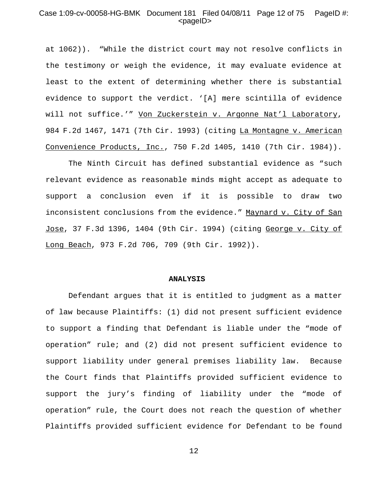# Case 1:09-cv-00058-HG-BMK Document 181 Filed 04/08/11 Page 12 of 75 PageID #:  $<$ pageID $>$

at 1062)). "While the district court may not resolve conflicts in the testimony or weigh the evidence, it may evaluate evidence at least to the extent of determining whether there is substantial evidence to support the verdict. '[A] mere scintilla of evidence will not suffice.'" Von Zuckerstein v. Argonne Nat'l Laboratory, 984 F.2d 1467, 1471 (7th Cir. 1993) (citing La Montagne v. American Convenience Products, Inc., 750 F.2d 1405, 1410 (7th Cir. 1984)).

The Ninth Circuit has defined substantial evidence as "such relevant evidence as reasonable minds might accept as adequate to support a conclusion even if it is possible to draw two inconsistent conclusions from the evidence." Maynard v. City of San Jose, 37 F.3d 1396, 1404 (9th Cir. 1994) (citing George v. City of Long Beach, 973 F.2d 706, 709 (9th Cir. 1992)).

#### **ANALYSIS**

Defendant argues that it is entitled to judgment as a matter of law because Plaintiffs: (1) did not present sufficient evidence to support a finding that Defendant is liable under the "mode of operation" rule; and (2) did not present sufficient evidence to support liability under general premises liability law. Because the Court finds that Plaintiffs provided sufficient evidence to support the jury's finding of liability under the "mode of operation" rule, the Court does not reach the question of whether Plaintiffs provided sufficient evidence for Defendant to be found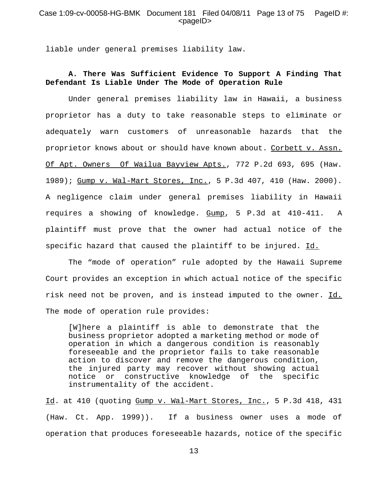### Case 1:09-cv-00058-HG-BMK Document 181 Filed 04/08/11 Page 13 of 75 PageID #: <pageID>

liable under general premises liability law.

# **A. There Was Sufficient Evidence To Support A Finding That Defendant Is Liable Under The Mode of Operation Rule**

Under general premises liability law in Hawaii, a business proprietor has a duty to take reasonable steps to eliminate or adequately warn customers of unreasonable hazards that the proprietor knows about or should have known about. Corbett v. Assn. Of Apt. Owners Of Wailua Bayview Apts., 772 P.2d 693, 695 (Haw. 1989); Gump v. Wal-Mart Stores, Inc., 5 P.3d 407, 410 (Haw. 2000). A negligence claim under general premises liability in Hawaii requires a showing of knowledge. Gump, 5 P.3d at 410-411. A plaintiff must prove that the owner had actual notice of the specific hazard that caused the plaintiff to be injured. Id.

The "mode of operation" rule adopted by the Hawaii Supreme Court provides an exception in which actual notice of the specific risk need not be proven, and is instead imputed to the owner. Id. The mode of operation rule provides:

[W]here a plaintiff is able to demonstrate that the business proprietor adopted a marketing method or mode of operation in which a dangerous condition is reasonably foreseeable and the proprietor fails to take reasonable action to discover and remove the dangerous condition, the injured party may recover without showing actual notice or constructive knowledge of the specific instrumentality of the accident.

Id. at 410 (quoting Gump v. Wal-Mart Stores, Inc., 5 P.3d 418, 431 (Haw. Ct. App. 1999)). If a business owner uses a mode of operation that produces foreseeable hazards, notice of the specific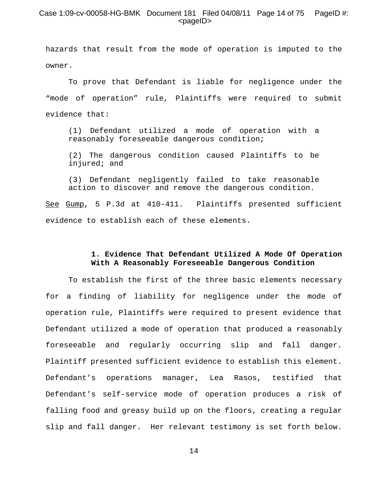# Case 1:09-cv-00058-HG-BMK Document 181 Filed 04/08/11 Page 14 of 75 PageID #: <pageID>

hazards that result from the mode of operation is imputed to the owner.

To prove that Defendant is liable for negligence under the "mode of operation" rule, Plaintiffs were required to submit evidence that:

(1) Defendant utilized a mode of operation with a reasonably foreseeable dangerous condition;

(2) The dangerous condition caused Plaintiffs to be injured; and

(3) Defendant negligently failed to take reasonable action to discover and remove the dangerous condition.

See Gump, 5 P.3d at 410-411. Plaintiffs presented sufficient evidence to establish each of these elements.

# **1. Evidence That Defendant Utilized A Mode Of Operation With A Reasonably Foreseeable Dangerous Condition**

To establish the first of the three basic elements necessary for a finding of liability for negligence under the mode of operation rule, Plaintiffs were required to present evidence that Defendant utilized a mode of operation that produced a reasonably foreseeable and regularly occurring slip and fall danger. Plaintiff presented sufficient evidence to establish this element. Defendant's operations manager, Lea Rasos, testified that Defendant's self-service mode of operation produces a risk of falling food and greasy build up on the floors, creating a regular slip and fall danger. Her relevant testimony is set forth below.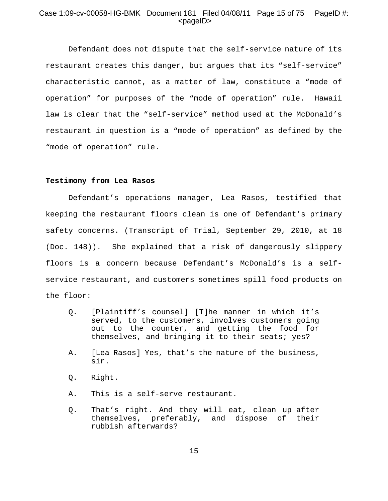# Case 1:09-cv-00058-HG-BMK Document 181 Filed 04/08/11 Page 15 of 75 PageID #: <pageID>

Defendant does not dispute that the self-service nature of its restaurant creates this danger, but argues that its "self-service" characteristic cannot, as a matter of law, constitute a "mode of operation" for purposes of the "mode of operation" rule. Hawaii law is clear that the "self-service" method used at the McDonald's restaurant in question is a "mode of operation" as defined by the "mode of operation" rule.

### **Testimony from Lea Rasos**

Defendant's operations manager, Lea Rasos, testified that keeping the restaurant floors clean is one of Defendant's primary safety concerns. (Transcript of Trial, September 29, 2010, at 18 (Doc. 148)). She explained that a risk of dangerously slippery floors is a concern because Defendant's McDonald's is a selfservice restaurant, and customers sometimes spill food products on the floor:

- Q. [Plaintiff's counsel] [T]he manner in which it's served, to the customers, involves customers going out to the counter, and getting the food for themselves, and bringing it to their seats; yes?
- A. [Lea Rasos] Yes, that's the nature of the business, sir.
- Q. Right.
- A. This is a self-serve restaurant.
- Q. That's right. And they will eat, clean up after themselves, preferably, and dispose of their rubbish afterwards?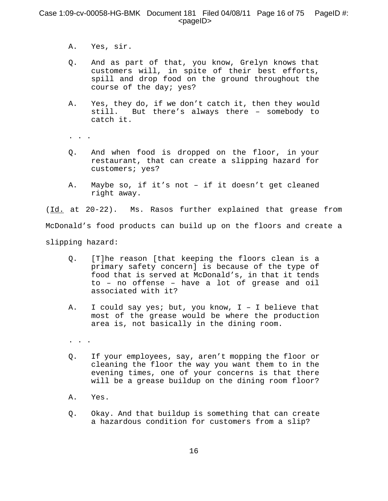# Case 1:09-cv-00058-HG-BMK Document 181 Filed 04/08/11 Page 16 of 75 PageID #:  $<$ pageID $>$

- A. Yes, sir.
- Q. And as part of that, you know, Grelyn knows that customers will, in spite of their best efforts, spill and drop food on the ground throughout the course of the day; yes?
- A. Yes, they do, if we don't catch it, then they would still. But there's always there – somebody to catch it.
- . . .
- Q. And when food is dropped on the floor, in your restaurant, that can create a slipping hazard for customers; yes?
- A. Maybe so, if it's not if it doesn't get cleaned right away.

(Id. at 20-22). Ms. Rasos further explained that grease from McDonald's food products can build up on the floors and create a slipping hazard:

- Q. [T]he reason [that keeping the floors clean is a primary safety concern] is because of the type of food that is served at McDonald's, in that it tends to – no offense – have a lot of grease and oil associated with it?
- A. I could say yes; but, you know, I I believe that most of the grease would be where the production area is, not basically in the dining room.
- . . .
- Q. If your employees, say, aren't mopping the floor or cleaning the floor the way you want them to in the evening times, one of your concerns is that there will be a grease buildup on the dining room floor?
- A. Yes.
- Q. Okay. And that buildup is something that can create a hazardous condition for customers from a slip?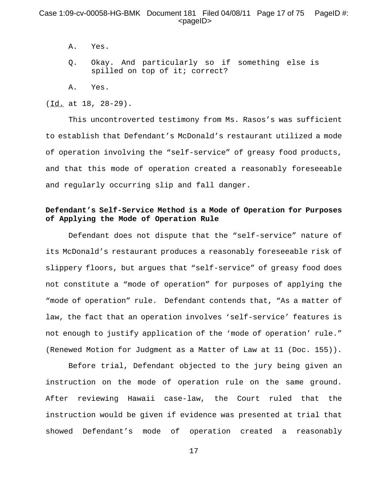# Case 1:09-cv-00058-HG-BMK Document 181 Filed 04/08/11 Page 17 of 75 PageID #: <pageID>

- A. Yes.
- Q. Okay. And particularly so if something else is spilled on top of it; correct?
- A. Yes.

(Id. at 18, 28-29).

This uncontroverted testimony from Ms. Rasos's was sufficient to establish that Defendant's McDonald's restaurant utilized a mode of operation involving the "self-service" of greasy food products, and that this mode of operation created a reasonably foreseeable and regularly occurring slip and fall danger.

# **Defendant's Self-Service Method is a Mode of Operation for Purposes of Applying the Mode of Operation Rule**

Defendant does not dispute that the "self-service" nature of its McDonald's restaurant produces a reasonably foreseeable risk of slippery floors, but argues that "self-service" of greasy food does not constitute a "mode of operation" for purposes of applying the "mode of operation" rule. Defendant contends that, "As a matter of law, the fact that an operation involves 'self-service' features is not enough to justify application of the 'mode of operation' rule." (Renewed Motion for Judgment as a Matter of Law at 11 (Doc. 155)).

Before trial, Defendant objected to the jury being given an instruction on the mode of operation rule on the same ground. After reviewing Hawaii case-law, the Court ruled that the instruction would be given if evidence was presented at trial that showed Defendant's mode of operation created a reasonably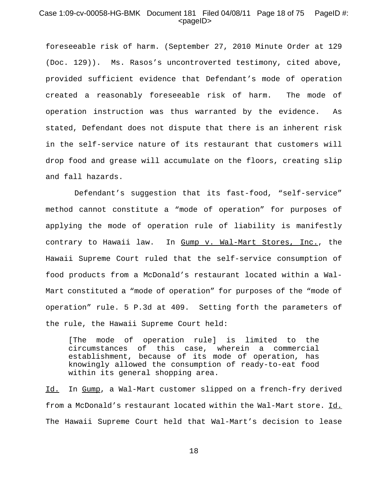## Case 1:09-cv-00058-HG-BMK Document 181 Filed 04/08/11 Page 18 of 75 PageID #: <pageID>

foreseeable risk of harm. (September 27, 2010 Minute Order at 129 (Doc. 129)). Ms. Rasos's uncontroverted testimony, cited above, provided sufficient evidence that Defendant's mode of operation created a reasonably foreseeable risk of harm. The mode of operation instruction was thus warranted by the evidence. As stated, Defendant does not dispute that there is an inherent risk in the self-service nature of its restaurant that customers will drop food and grease will accumulate on the floors, creating slip and fall hazards.

 Defendant's suggestion that its fast-food, "self-service" method cannot constitute a "mode of operation" for purposes of applying the mode of operation rule of liability is manifestly contrary to Hawaii law. In Gump v. Wal-Mart Stores, Inc., the Hawaii Supreme Court ruled that the self-service consumption of food products from a McDonald's restaurant located within a Wal-Mart constituted a "mode of operation" for purposes of the "mode of operation" rule. 5 P.3d at 409. Setting forth the parameters of the rule, the Hawaii Supreme Court held:

[The mode of operation rule] is limited to the circumstances of this case, wherein a commercial establishment, because of its mode of operation, has knowingly allowed the consumption of ready-to-eat food within its general shopping area.

Id. In Gump, a Wal-Mart customer slipped on a french-fry derived from a McDonald's restaurant located within the Wal-Mart store. Id. The Hawaii Supreme Court held that Wal-Mart's decision to lease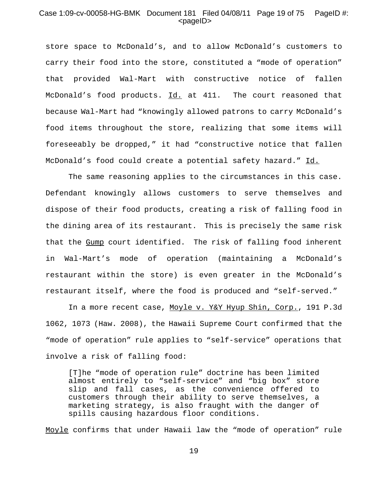# Case 1:09-cv-00058-HG-BMK Document 181 Filed 04/08/11 Page 19 of 75 PageID #: <pageID>

store space to McDonald's, and to allow McDonald's customers to carry their food into the store, constituted a "mode of operation" that provided Wal-Mart with constructive notice of fallen McDonald's food products. Id. at 411. The court reasoned that because Wal-Mart had "knowingly allowed patrons to carry McDonald's food items throughout the store, realizing that some items will foreseeably be dropped," it had "constructive notice that fallen McDonald's food could create a potential safety hazard." Id.

The same reasoning applies to the circumstances in this case. Defendant knowingly allows customers to serve themselves and dispose of their food products, creating a risk of falling food in the dining area of its restaurant. This is precisely the same risk that the Gump court identified. The risk of falling food inherent in Wal-Mart's mode of operation (maintaining a McDonald's restaurant within the store) is even greater in the McDonald's restaurant itself, where the food is produced and "self-served."

In a more recent case, Moyle v. Y&Y Hyup Shin, Corp., 191 P.3d 1062, 1073 (Haw. 2008), the Hawaii Supreme Court confirmed that the "mode of operation" rule applies to "self-service" operations that involve a risk of falling food:

[T]he "mode of operation rule" doctrine has been limited almost entirely to "self-service" and "big box" store slip and fall cases, as the convenience offered to customers through their ability to serve themselves, a marketing strategy, is also fraught with the danger of spills causing hazardous floor conditions.

Moyle confirms that under Hawaii law the "mode of operation" rule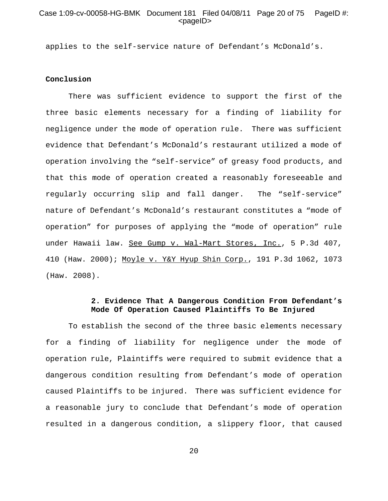# Case 1:09-cv-00058-HG-BMK Document 181 Filed 04/08/11 Page 20 of 75 PageID #: <pageID>

applies to the self-service nature of Defendant's McDonald's.

### **Conclusion**

There was sufficient evidence to support the first of the three basic elements necessary for a finding of liability for negligence under the mode of operation rule. There was sufficient evidence that Defendant's McDonald's restaurant utilized a mode of operation involving the "self-service" of greasy food products, and that this mode of operation created a reasonably foreseeable and regularly occurring slip and fall danger. The "self-service" nature of Defendant's McDonald's restaurant constitutes a "mode of operation" for purposes of applying the "mode of operation" rule under Hawaii law. See Gump v. Wal-Mart Stores, Inc., 5 P.3d 407, 410 (Haw. 2000); Moyle v. Y&Y Hyup Shin Corp., 191 P.3d 1062, 1073 (Haw. 2008).

# **2. Evidence That A Dangerous Condition From Defendant's Mode Of Operation Caused Plaintiffs To Be Injured**

To establish the second of the three basic elements necessary for a finding of liability for negligence under the mode of operation rule, Plaintiffs were required to submit evidence that a dangerous condition resulting from Defendant's mode of operation caused Plaintiffs to be injured. There was sufficient evidence for a reasonable jury to conclude that Defendant's mode of operation resulted in a dangerous condition, a slippery floor, that caused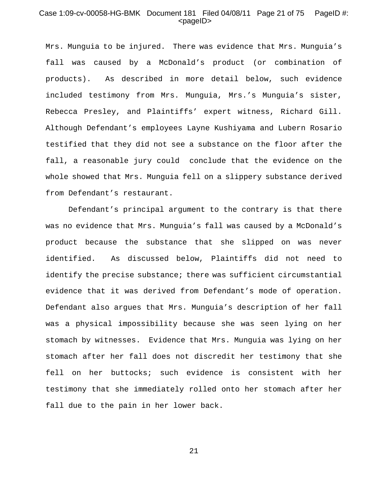# Case 1:09-cv-00058-HG-BMK Document 181 Filed 04/08/11 Page 21 of 75 PageID #: <pageID>

Mrs. Munguia to be injured. There was evidence that Mrs. Munguia's fall was caused by a McDonald's product (or combination of products). As described in more detail below, such evidence included testimony from Mrs. Munguia, Mrs.'s Munguia's sister, Rebecca Presley, and Plaintiffs' expert witness, Richard Gill. Although Defendant's employees Layne Kushiyama and Lubern Rosario testified that they did not see a substance on the floor after the fall, a reasonable jury could conclude that the evidence on the whole showed that Mrs. Munguia fell on a slippery substance derived from Defendant's restaurant.

Defendant's principal argument to the contrary is that there was no evidence that Mrs. Munguia's fall was caused by a McDonald's product because the substance that she slipped on was never identified. As discussed below, Plaintiffs did not need to identify the precise substance; there was sufficient circumstantial evidence that it was derived from Defendant's mode of operation. Defendant also argues that Mrs. Munguia's description of her fall was a physical impossibility because she was seen lying on her stomach by witnesses. Evidence that Mrs. Munguia was lying on her stomach after her fall does not discredit her testimony that she fell on her buttocks; such evidence is consistent with her testimony that she immediately rolled onto her stomach after her fall due to the pain in her lower back.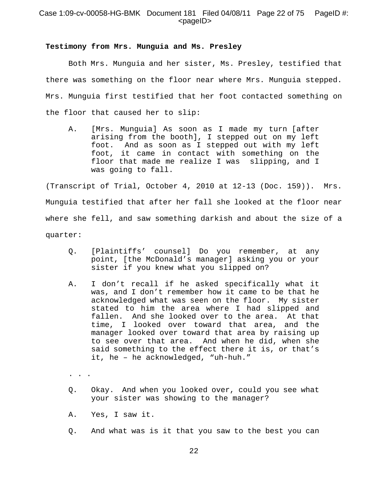# Case 1:09-cv-00058-HG-BMK Document 181 Filed 04/08/11 Page 22 of 75 PageID #: <pageID>

### **Testimony from Mrs. Munguia and Ms. Presley**

Both Mrs. Munguia and her sister, Ms. Presley, testified that there was something on the floor near where Mrs. Munguia stepped. Mrs. Munguia first testified that her foot contacted something on the floor that caused her to slip:

A. [Mrs. Munguia] As soon as I made my turn [after arising from the booth], I stepped out on my left foot. And as soon as I stepped out with my left foot, it came in contact with something on the floor that made me realize I was slipping, and I was going to fall.

(Transcript of Trial, October 4, 2010 at 12-13 (Doc. 159)). Mrs. Munguia testified that after her fall she looked at the floor near where she fell, and saw something darkish and about the size of a quarter:

- Q. [Plaintiffs' counsel] Do you remember, at any point, [the McDonald's manager] asking you or your sister if you knew what you slipped on?
- A. I don't recall if he asked specifically what it was, and I don't remember how it came to be that he acknowledged what was seen on the floor. My sister stated to him the area where I had slipped and fallen. And she looked over to the area. At that time, I looked over toward that area, and the manager looked over toward that area by raising up to see over that area. And when he did, when she said something to the effect there it is, or that's it, he – he acknowledged, "uh-huh."
- .  $\cdot$   $\cdot$   $\cdot$
- Q. Okay. And when you looked over, could you see what your sister was showing to the manager?
- A. Yes, I saw it.
- Q. And what was is it that you saw to the best you can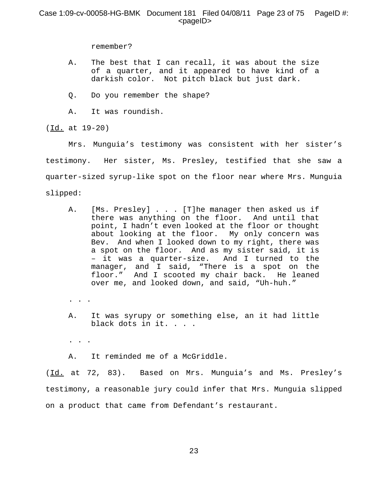# Case 1:09-cv-00058-HG-BMK Document 181 Filed 04/08/11 Page 23 of 75 PageID #:  $<$ pageID $>$

remember?

- A. The best that I can recall, it was about the size of a quarter, and it appeared to have kind of a darkish color. Not pitch black but just dark.
- Q. Do you remember the shape?
- A. It was roundish.

(Id. at 19-20)

Mrs. Munguia's testimony was consistent with her sister's testimony. Her sister, Ms. Presley, testified that she saw a quarter-sized syrup-like spot on the floor near where Mrs. Munguia slipped:

- A. [Ms. Presley] . . . [T]he manager then asked us if there was anything on the floor. And until that point, I hadn't even looked at the floor or thought about looking at the floor. My only concern was Bev. And when I looked down to my right, there was a spot on the floor. And as my sister said, it is – it was a quarter-size. And I turned to the manager, and I said, "There is a spot on the floor." And I scooted my chair back. He leaned over me, and looked down, and said, "Uh-huh."
- . . .
- A. It was syrupy or something else, an it had little black dots in it. . . .

. . .

A. It reminded me of a McGriddle.

(Id. at 72, 83). Based on Mrs. Munguia's and Ms. Presley's testimony, a reasonable jury could infer that Mrs. Munguia slipped on a product that came from Defendant's restaurant.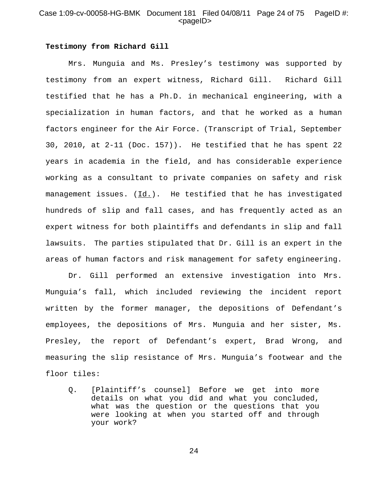# Case 1:09-cv-00058-HG-BMK Document 181 Filed 04/08/11 Page 24 of 75 PageID #:  $<$ pageID $>$

#### **Testimony from Richard Gill**

Mrs. Munguia and Ms. Presley's testimony was supported by testimony from an expert witness, Richard Gill. Richard Gill testified that he has a Ph.D. in mechanical engineering, with a specialization in human factors, and that he worked as a human factors engineer for the Air Force. (Transcript of Trial, September 30, 2010, at 2-11 (Doc. 157)). He testified that he has spent 22 years in academia in the field, and has considerable experience working as a consultant to private companies on safety and risk management issues. (Id.). He testified that he has investigated hundreds of slip and fall cases, and has frequently acted as an expert witness for both plaintiffs and defendants in slip and fall lawsuits. The parties stipulated that Dr. Gill is an expert in the areas of human factors and risk management for safety engineering.

Dr. Gill performed an extensive investigation into Mrs. Munguia's fall, which included reviewing the incident report written by the former manager, the depositions of Defendant's employees, the depositions of Mrs. Munguia and her sister, Ms. Presley, the report of Defendant's expert, Brad Wrong, and measuring the slip resistance of Mrs. Munguia's footwear and the floor tiles:

Q. [Plaintiff's counsel] Before we get into more details on what you did and what you concluded, what was the question or the questions that you were looking at when you started off and through your work?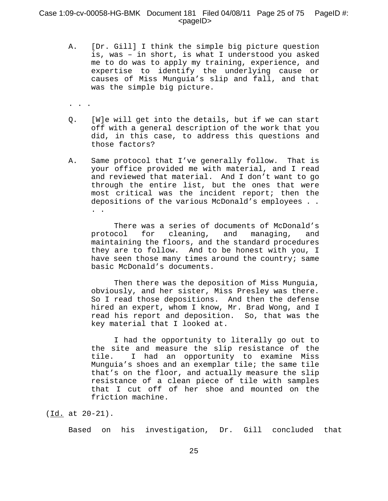# Case 1:09-cv-00058-HG-BMK Document 181 Filed 04/08/11 Page 25 of 75 PageID #:  $<$ pageID $>$

- A. [Dr. Gill] I think the simple big picture question is, was – in short, is what I understood you asked me to do was to apply my training, experience, and expertise to identify the underlying cause or causes of Miss Munguia's slip and fall, and that was the simple big picture.
- . . .
- Q. [W]e will get into the details, but if we can start off with a general description of the work that you did, in this case, to address this questions and those factors?
- A. Same protocol that I've generally follow. That is your office provided me with material, and I read and reviewed that material. And I don't want to go through the entire list, but the ones that were most critical was the incident report; then the depositions of the various McDonald's employees . . . .

There was a series of documents of McDonald's protocol for cleaning, and managing, and maintaining the floors, and the standard procedures they are to follow. And to be honest with you, I have seen those many times around the country; same basic McDonald's documents.

Then there was the deposition of Miss Munguia, obviously, and her sister, Miss Presley was there. So I read those depositions. And then the defense hired an expert, whom I know, Mr. Brad Wong, and I read his report and deposition. So, that was the key material that I looked at.

I had the opportunity to literally go out to the site and measure the slip resistance of the tile. I had an opportunity to examine Miss Munguia's shoes and an exemplar tile; the same tile that's on the floor, and actually measure the slip resistance of a clean piece of tile with samples that I cut off of her shoe and mounted on the friction machine.

Based on his investigation, Dr. Gill concluded that

<sup>(</sup>Id. at 20-21).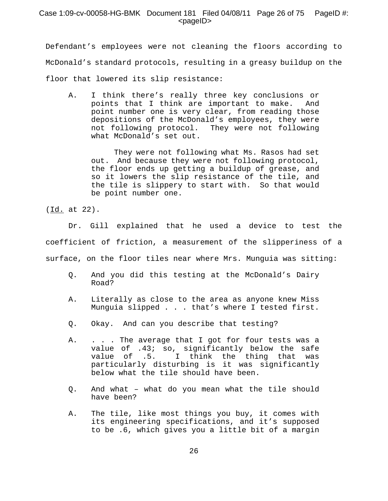# Case 1:09-cv-00058-HG-BMK Document 181 Filed 04/08/11 Page 26 of 75 PageID #: <pageID>

Defendant's employees were not cleaning the floors according to McDonald's standard protocols, resulting in a greasy buildup on the floor that lowered its slip resistance:

A. I think there's really three key conclusions or points that I think are important to make. And point number one is very clear, from reading those depositions of the McDonald's employees, they were not following protocol. They were not following what McDonald's set out.

They were not following what Ms. Rasos had set out. And because they were not following protocol, the floor ends up getting a buildup of grease, and so it lowers the slip resistance of the tile, and the tile is slippery to start with. So that would be point number one.

(Id. at 22).

Dr. Gill explained that he used a device to test the coefficient of friction, a measurement of the slipperiness of a surface, on the floor tiles near where Mrs. Munguia was sitting:

- Q. And you did this testing at the McDonald's Dairy Road?
- A. Literally as close to the area as anyone knew Miss Munguia slipped . . . that's where I tested first.
- Q. Okay. And can you describe that testing?
- A. . . . The average that I got for four tests was a value of .43; so, significantly below the safe value of .5. I think the thing that was particularly disturbing is it was significantly below what the tile should have been.
- Q. And what what do you mean what the tile should have been?
- A. The tile, like most things you buy, it comes with its engineering specifications, and it's supposed to be .6, which gives you a little bit of a margin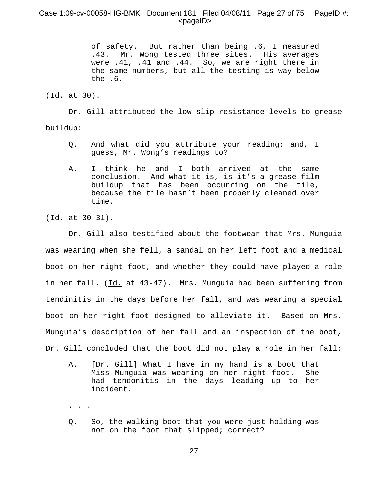# Case 1:09-cv-00058-HG-BMK Document 181 Filed 04/08/11 Page 27 of 75 PageID #:  $<$ pageID $>$

of safety. But rather than being .6, I measured .43. Mr. Wong tested three sites. His averages were .41, .41 and .44. So, we are right there in the same numbers, but all the testing is way below the .6.

(Id. at 30).

Dr. Gill attributed the low slip resistance levels to grease buildup:

- Q. And what did you attribute your reading; and, I guess, Mr. Wong's readings to?
- A. I think he and I both arrived at the same conclusion. And what it is, is it's a grease film buildup that has been occurring on the tile, because the tile hasn't been properly cleaned over time.

(Id. at 30-31).

. . .

Dr. Gill also testified about the footwear that Mrs. Munguia was wearing when she fell, a sandal on her left foot and a medical boot on her right foot, and whether they could have played a role in her fall. (Id. at 43-47). Mrs. Munguia had been suffering from tendinitis in the days before her fall, and was wearing a special boot on her right foot designed to alleviate it. Based on Mrs. Munguia's description of her fall and an inspection of the boot, Dr. Gill concluded that the boot did not play a role in her fall:

- A. [Dr. Gill] What I have in my hand is a boot that Miss Munguia was wearing on her right foot. She had tendonitis in the days leading up to her incident.
- Q. So, the walking boot that you were just holding was not on the foot that slipped; correct?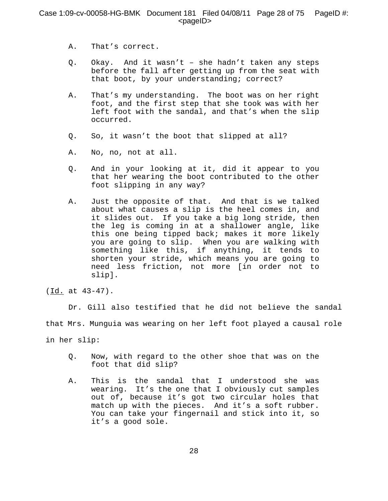- A. That's correct.
- Q. Okay. And it wasn't she hadn't taken any steps before the fall after getting up from the seat with that boot, by your understanding; correct?
- A. That's my understanding. The boot was on her right foot, and the first step that she took was with her left foot with the sandal, and that's when the slip occurred.
- Q. So, it wasn't the boot that slipped at all?
- A. No, no, not at all.
- Q. And in your looking at it, did it appear to you that her wearing the boot contributed to the other foot slipping in any way?
- A. Just the opposite of that. And that is we talked about what causes a slip is the heel comes in, and it slides out. If you take a big long stride, then the leg is coming in at a shallower angle, like this one being tipped back; makes it more likely you are going to slip. When you are walking with something like this, if anything, it tends to shorten your stride, which means you are going to need less friction, not more [in order not to slip].

Dr. Gill also testified that he did not believe the sandal that Mrs. Munguia was wearing on her left foot played a causal role in her slip:

- Q. Now, with regard to the other shoe that was on the foot that did slip?
- A. This is the sandal that I understood she was wearing. It's the one that I obviously cut samples out of, because it's got two circular holes that match up with the pieces. And it's a soft rubber. You can take your fingernail and stick into it, so it's a good sole.

<sup>(</sup>Id. at 43-47).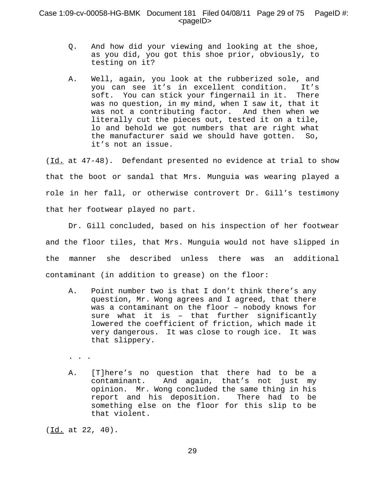- Q. And how did your viewing and looking at the shoe, as you did, you got this shoe prior, obviously, to testing on it?
- A. Well, again, you look at the rubberized sole, and you can see it's in excellent condition. It's soft. You can stick your fingernail in it. There was no question, in my mind, when I saw it, that it was not a contributing factor. And then when we literally cut the pieces out, tested it on a tile, lo and behold we got numbers that are right what the manufacturer said we should have gotten. So, it's not an issue.

(Id. at 47-48). Defendant presented no evidence at trial to show that the boot or sandal that Mrs. Munguia was wearing played a role in her fall, or otherwise controvert Dr. Gill's testimony that her footwear played no part.

Dr. Gill concluded, based on his inspection of her footwear and the floor tiles, that Mrs. Munguia would not have slipped in the manner she described unless there was an additional contaminant (in addition to grease) on the floor:

A. Point number two is that I don't think there's any question, Mr. Wong agrees and I agreed, that there was a contaminant on the floor – nobody knows for sure what it is – that further significantly lowered the coefficient of friction, which made it very dangerous. It was close to rough ice. It was that slippery.

. . .

A. [T]here's no question that there had to be a contaminant. And again, that's not just my opinion. Mr. Wong concluded the same thing in his report and his deposition. There had to be something else on the floor for this slip to be that violent.

(Id. at 22, 40).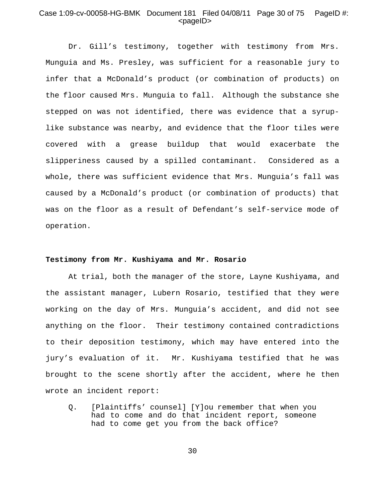# Case 1:09-cv-00058-HG-BMK Document 181 Filed 04/08/11 Page 30 of 75 PageID #: <pageID>

Dr. Gill's testimony, together with testimony from Mrs. Munguia and Ms. Presley, was sufficient for a reasonable jury to infer that a McDonald's product (or combination of products) on the floor caused Mrs. Munguia to fall. Although the substance she stepped on was not identified, there was evidence that a syruplike substance was nearby, and evidence that the floor tiles were covered with a grease buildup that would exacerbate the slipperiness caused by a spilled contaminant. Considered as a whole, there was sufficient evidence that Mrs. Munguia's fall was caused by a McDonald's product (or combination of products) that was on the floor as a result of Defendant's self-service mode of operation.

### **Testimony from Mr. Kushiyama and Mr. Rosario**

At trial, both the manager of the store, Layne Kushiyama, and the assistant manager, Lubern Rosario, testified that they were working on the day of Mrs. Munguia's accident, and did not see anything on the floor. Their testimony contained contradictions to their deposition testimony, which may have entered into the jury's evaluation of it. Mr. Kushiyama testified that he was brought to the scene shortly after the accident, where he then wrote an incident report:

Q. [Plaintiffs' counsel] [Y]ou remember that when you had to come and do that incident report, someone had to come get you from the back office?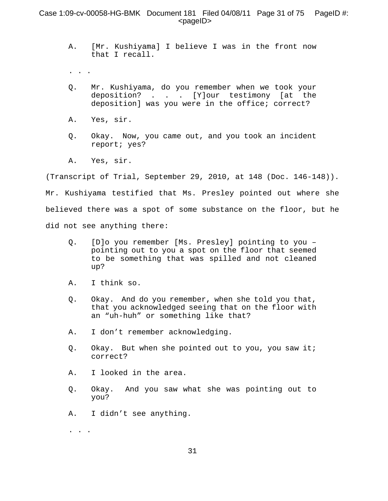# Case 1:09-cv-00058-HG-BMK Document 181 Filed 04/08/11 Page 31 of 75 PageID #: <pageID>

- A. [Mr. Kushiyama] I believe I was in the front now that I recall.
- . . .
- Q. Mr. Kushiyama, do you remember when we took your deposition? . . . [Y]our testimony [at the deposition] was you were in the office; correct?
- A. Yes, sir.
- Q. Okay. Now, you came out, and you took an incident report; yes?
- A. Yes, sir.

(Transcript of Trial, September 29, 2010, at 148 (Doc. 146-148)).

Mr. Kushiyama testified that Ms. Presley pointed out where she believed there was a spot of some substance on the floor, but he did not see anything there:

- Q. [D]o you remember [Ms. Presley] pointing to you pointing out to you a spot on the floor that seemed to be something that was spilled and not cleaned up?
- A. I think so.
- Q. Okay. And do you remember, when she told you that, that you acknowledged seeing that on the floor with an "uh-huh" or something like that?
- A. I don't remember acknowledging.
- Q. Okay. But when she pointed out to you, you saw it; correct?
- A. I looked in the area.
- Q. Okay. And you saw what she was pointing out to you?
- A. I didn't see anything.

. . .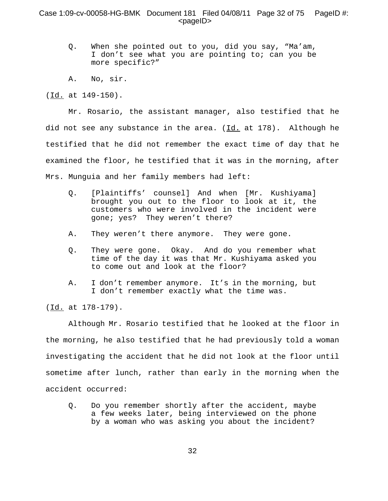## Case 1:09-cv-00058-HG-BMK Document 181 Filed 04/08/11 Page 32 of 75 PageID #: <pageID>

- Q. When she pointed out to you, did you say, "Ma'am, I don't see what you are pointing to; can you be more specific?"
- A. No, sir.

(Id. at 149-150).

Mr. Rosario, the assistant manager, also testified that he did not see any substance in the area.  $(\underline{Id.}]$  at 178). Although he testified that he did not remember the exact time of day that he examined the floor, he testified that it was in the morning, after Mrs. Munguia and her family members had left:

- Q. [Plaintiffs' counsel] And when [Mr. Kushiyama] brought you out to the floor to look at it, the customers who were involved in the incident were gone; yes? They weren't there?
- A. They weren't there anymore. They were gone.
- Q. They were gone. Okay. And do you remember what time of the day it was that Mr. Kushiyama asked you to come out and look at the floor?
- A. I don't remember anymore. It's in the morning, but I don't remember exactly what the time was.

(Id. at 178-179).

Although Mr. Rosario testified that he looked at the floor in the morning, he also testified that he had previously told a woman investigating the accident that he did not look at the floor until sometime after lunch, rather than early in the morning when the accident occurred:

Q. Do you remember shortly after the accident, maybe a few weeks later, being interviewed on the phone by a woman who was asking you about the incident?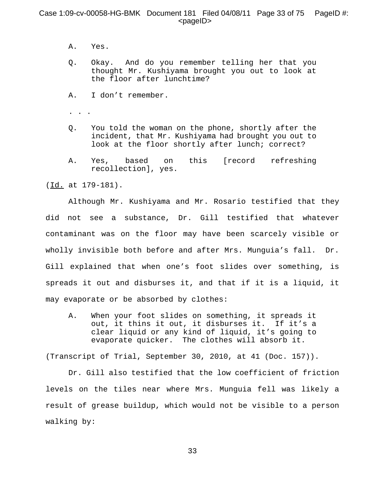# Case 1:09-cv-00058-HG-BMK Document 181 Filed 04/08/11 Page 33 of 75 PageID #:  $<$ pageID $>$

- A. Yes.
- Q. Okay. And do you remember telling her that you thought Mr. Kushiyama brought you out to look at the floor after lunchtime?
- A. I don't remember.

. . .

- Q. You told the woman on the phone, shortly after the incident, that Mr. Kushiyama had brought you out to look at the floor shortly after lunch; correct?
- A. Yes, based on this [record refreshing recollection], yes.

(Id. at 179-181).

Although Mr. Kushiyama and Mr. Rosario testified that they did not see a substance, Dr. Gill testified that whatever contaminant was on the floor may have been scarcely visible or wholly invisible both before and after Mrs. Munguia's fall. Dr. Gill explained that when one's foot slides over something, is spreads it out and disburses it, and that if it is a liquid, it may evaporate or be absorbed by clothes:

A. When your foot slides on something, it spreads it out, it thins it out, it disburses it. If it's a clear liquid or any kind of liquid, it's going to evaporate quicker. The clothes will absorb it.

(Transcript of Trial, September 30, 2010, at 41 (Doc. 157)).

Dr. Gill also testified that the low coefficient of friction levels on the tiles near where Mrs. Munguia fell was likely a result of grease buildup, which would not be visible to a person walking by: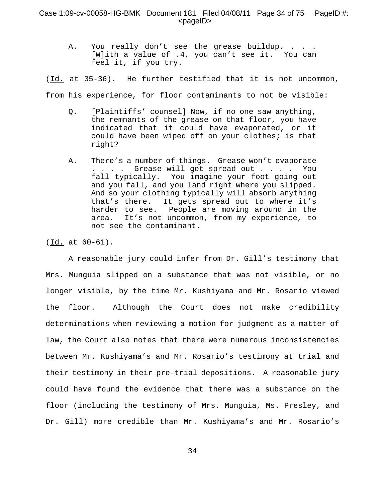A. You really don't see the grease buildup. . . . [W]ith a value of .4, you can't see it. You can feel it, if you try.

 $(\underline{Id.}$  at 35-36). He further testified that it is not uncommon, from his experience, for floor contaminants to not be visible:

- Q. [Plaintiffs' counsel] Now, if no one saw anything, the remnants of the grease on that floor, you have indicated that it could have evaporated, or it could have been wiped off on your clothes; is that right?
- A. There's a number of things. Grease won't evaporate . . . . Grease will get spread out . . . . You fall typically. You imagine your foot going out and you fall, and you land right where you slipped. And so your clothing typically will absorb anything that's there. It gets spread out to where it's harder to see. People are moving around in the area. It's not uncommon, from my experience, to not see the contaminant.

 $(\underline{Id.}$  at  $60-61)$ .

A reasonable jury could infer from Dr. Gill's testimony that Mrs. Munguia slipped on a substance that was not visible, or no longer visible, by the time Mr. Kushiyama and Mr. Rosario viewed the floor. Although the Court does not make credibility determinations when reviewing a motion for judgment as a matter of law, the Court also notes that there were numerous inconsistencies between Mr. Kushiyama's and Mr. Rosario's testimony at trial and their testimony in their pre-trial depositions. A reasonable jury could have found the evidence that there was a substance on the floor (including the testimony of Mrs. Munguia, Ms. Presley, and Dr. Gill) more credible than Mr. Kushiyama's and Mr. Rosario's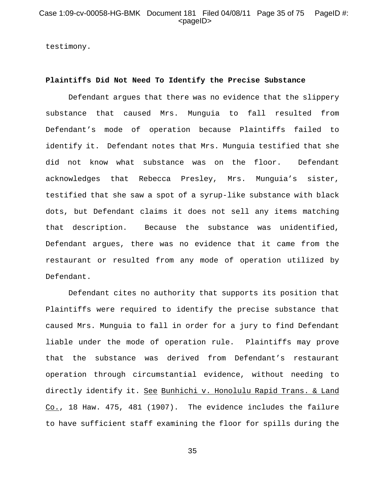testimony.

### **Plaintiffs Did Not Need To Identify the Precise Substance**

Defendant argues that there was no evidence that the slippery substance that caused Mrs. Munguia to fall resulted from Defendant's mode of operation because Plaintiffs failed to identify it. Defendant notes that Mrs. Munguia testified that she did not know what substance was on the floor. Defendant acknowledges that Rebecca Presley, Mrs. Munguia's sister, testified that she saw a spot of a syrup-like substance with black dots, but Defendant claims it does not sell any items matching that description. Because the substance was unidentified, Defendant argues, there was no evidence that it came from the restaurant or resulted from any mode of operation utilized by Defendant.

Defendant cites no authority that supports its position that Plaintiffs were required to identify the precise substance that caused Mrs. Munguia to fall in order for a jury to find Defendant liable under the mode of operation rule. Plaintiffs may prove that the substance was derived from Defendant's restaurant operation through circumstantial evidence, without needing to directly identify it. See Bunhichi v. Honolulu Rapid Trans. & Land Co., 18 Haw. 475, 481 (1907). The evidence includes the failure to have sufficient staff examining the floor for spills during the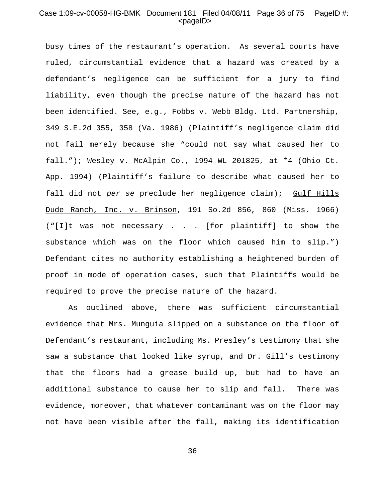# Case 1:09-cv-00058-HG-BMK Document 181 Filed 04/08/11 Page 36 of 75 PageID #:  $<$ pageID $>$

busy times of the restaurant's operation. As several courts have ruled, circumstantial evidence that a hazard was created by a defendant's negligence can be sufficient for a jury to find liability, even though the precise nature of the hazard has not been identified. See, e.g., Fobbs v. Webb Bldg. Ltd. Partnership, 349 S.E.2d 355, 358 (Va. 1986) (Plaintiff's negligence claim did not fail merely because she "could not say what caused her to fall."); Wesley v. McAlpin Co., 1994 WL 201825, at \*4 (Ohio Ct. App. 1994) (Plaintiff's failure to describe what caused her to fall did not *per se* preclude her negligence claim); Gulf Hills Dude Ranch, Inc. v. Brinson, 191 So.2d 856, 860 (Miss. 1966) ("[I]t was not necessary . . . [for plaintiff] to show the substance which was on the floor which caused him to slip.") Defendant cites no authority establishing a heightened burden of proof in mode of operation cases, such that Plaintiffs would be required to prove the precise nature of the hazard.

As outlined above, there was sufficient circumstantial evidence that Mrs. Munguia slipped on a substance on the floor of Defendant's restaurant, including Ms. Presley's testimony that she saw a substance that looked like syrup, and Dr. Gill's testimony that the floors had a grease build up, but had to have an additional substance to cause her to slip and fall. There was evidence, moreover, that whatever contaminant was on the floor may not have been visible after the fall, making its identification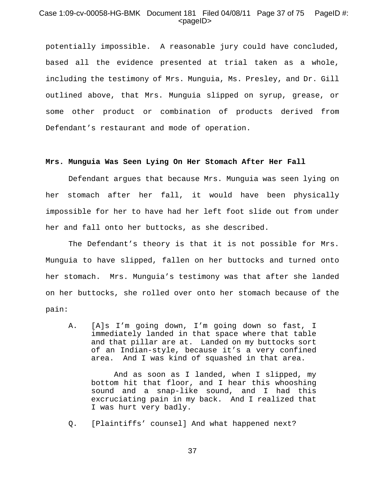## Case 1:09-cv-00058-HG-BMK Document 181 Filed 04/08/11 Page 37 of 75 PageID #: <pageID>

potentially impossible. A reasonable jury could have concluded, based all the evidence presented at trial taken as a whole, including the testimony of Mrs. Munguia, Ms. Presley, and Dr. Gill outlined above, that Mrs. Munguia slipped on syrup, grease, or some other product or combination of products derived from Defendant's restaurant and mode of operation.

#### **Mrs. Munguia Was Seen Lying On Her Stomach After Her Fall**

Defendant argues that because Mrs. Munguia was seen lying on her stomach after her fall, it would have been physically impossible for her to have had her left foot slide out from under her and fall onto her buttocks, as she described.

The Defendant's theory is that it is not possible for Mrs. Munguia to have slipped, fallen on her buttocks and turned onto her stomach. Mrs. Munguia's testimony was that after she landed on her buttocks, she rolled over onto her stomach because of the pain:

A. [A]s I'm going down, I'm going down so fast, I immediately landed in that space where that table and that pillar are at. Landed on my buttocks sort of an Indian-style, because it's a very confined area. And I was kind of squashed in that area.

And as soon as I landed, when I slipped, my bottom hit that floor, and I hear this whooshing sound and a snap-like sound, and I had this excruciating pain in my back. And I realized that I was hurt very badly.

Q. [Plaintiffs' counsel] And what happened next?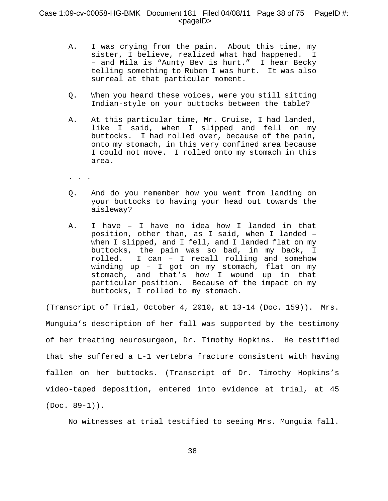# Case 1:09-cv-00058-HG-BMK Document 181 Filed 04/08/11 Page 38 of 75 PageID #:  $<$ pageID $>$

- A. I was crying from the pain. About this time, my sister, I believe, realized what had happened. I – and Mila is "Aunty Bev is hurt." I hear Becky telling something to Ruben I was hurt. It was also surreal at that particular moment.
- Q. When you heard these voices, were you still sitting Indian-style on your buttocks between the table?
- A. At this particular time, Mr. Cruise, I had landed, like I said, when I slipped and fell on my buttocks. I had rolled over, because of the pain, onto my stomach, in this very confined area because I could not move. I rolled onto my stomach in this area.
- . . .
- Q. And do you remember how you went from landing on your buttocks to having your head out towards the aisleway?
- A. I have I have no idea how I landed in that position, other than, as I said, when I landed – when I slipped, and I fell, and I landed flat on my buttocks, the pain was so bad, in my back, I rolled. I can – I recall rolling and somehow winding up – I got on my stomach, flat on my stomach, and that's how I wound up in that particular position. Because of the impact on my buttocks, I rolled to my stomach.

(Transcript of Trial, October 4, 2010, at 13-14 (Doc. 159)). Mrs. Munguia's description of her fall was supported by the testimony of her treating neurosurgeon, Dr. Timothy Hopkins. He testified that she suffered a L-1 vertebra fracture consistent with having fallen on her buttocks. (Transcript of Dr. Timothy Hopkins's video-taped deposition, entered into evidence at trial, at 45  $(Doc. 89-1)$ .

No witnesses at trial testified to seeing Mrs. Munguia fall.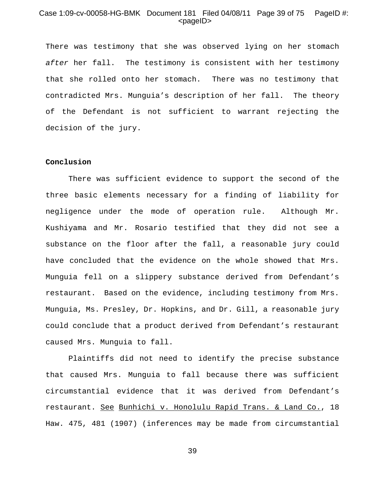## Case 1:09-cv-00058-HG-BMK Document 181 Filed 04/08/11 Page 39 of 75 PageID #: <pageID>

There was testimony that she was observed lying on her stomach *after* her fall. The testimony is consistent with her testimony that she rolled onto her stomach. There was no testimony that contradicted Mrs. Munguia's description of her fall. The theory of the Defendant is not sufficient to warrant rejecting the decision of the jury.

### **Conclusion**

There was sufficient evidence to support the second of the three basic elements necessary for a finding of liability for negligence under the mode of operation rule. Although Mr. Kushiyama and Mr. Rosario testified that they did not see a substance on the floor after the fall, a reasonable jury could have concluded that the evidence on the whole showed that Mrs. Munguia fell on a slippery substance derived from Defendant's restaurant. Based on the evidence, including testimony from Mrs. Munguia, Ms. Presley, Dr. Hopkins, and Dr. Gill, a reasonable jury could conclude that a product derived from Defendant's restaurant caused Mrs. Munguia to fall.

Plaintiffs did not need to identify the precise substance that caused Mrs. Munguia to fall because there was sufficient circumstantial evidence that it was derived from Defendant's restaurant. See Bunhichi v. Honolulu Rapid Trans. & Land Co., 18 Haw. 475, 481 (1907) (inferences may be made from circumstantial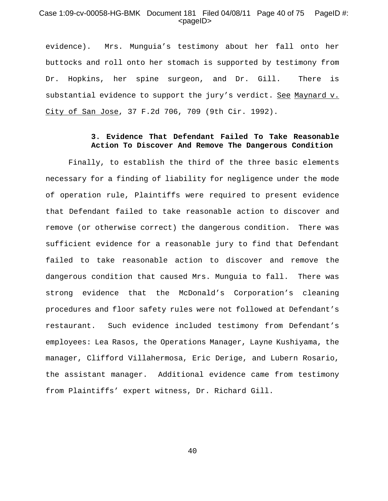## Case 1:09-cv-00058-HG-BMK Document 181 Filed 04/08/11 Page 40 of 75 PageID #: <pageID>

evidence). Mrs. Munguia's testimony about her fall onto her buttocks and roll onto her stomach is supported by testimony from Dr. Hopkins, her spine surgeon, and Dr. Gill. There is substantial evidence to support the jury's verdict. See Maynard v. City of San Jose, 37 F.2d 706, 709 (9th Cir. 1992).

## **3. Evidence That Defendant Failed To Take Reasonable Action To Discover And Remove The Dangerous Condition**

Finally, to establish the third of the three basic elements necessary for a finding of liability for negligence under the mode of operation rule, Plaintiffs were required to present evidence that Defendant failed to take reasonable action to discover and remove (or otherwise correct) the dangerous condition. There was sufficient evidence for a reasonable jury to find that Defendant failed to take reasonable action to discover and remove the dangerous condition that caused Mrs. Munguia to fall. There was strong evidence that the McDonald's Corporation's cleaning procedures and floor safety rules were not followed at Defendant's restaurant. Such evidence included testimony from Defendant's employees: Lea Rasos, the Operations Manager, Layne Kushiyama, the manager, Clifford Villahermosa, Eric Derige, and Lubern Rosario, the assistant manager. Additional evidence came from testimony from Plaintiffs' expert witness, Dr. Richard Gill.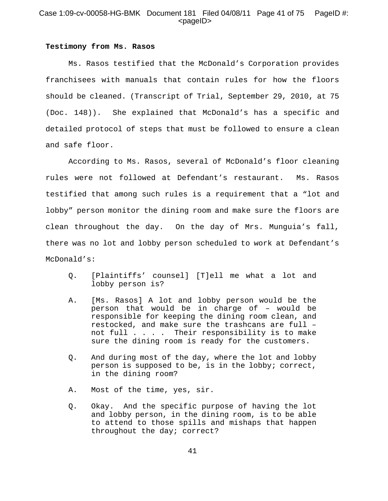# Case 1:09-cv-00058-HG-BMK Document 181 Filed 04/08/11 Page 41 of 75 PageID #: <pageID>

#### **Testimony from Ms. Rasos**

Ms. Rasos testified that the McDonald's Corporation provides franchisees with manuals that contain rules for how the floors should be cleaned. (Transcript of Trial, September 29, 2010, at 75 (Doc. 148)). She explained that McDonald's has a specific and detailed protocol of steps that must be followed to ensure a clean and safe floor.

According to Ms. Rasos, several of McDonald's floor cleaning rules were not followed at Defendant's restaurant. Ms. Rasos testified that among such rules is a requirement that a "lot and lobby" person monitor the dining room and make sure the floors are clean throughout the day. On the day of Mrs. Munguia's fall, there was no lot and lobby person scheduled to work at Defendant's McDonald's:

- Q. [Plaintiffs' counsel] [T]ell me what a lot and lobby person is?
- A. [Ms. Rasos] A lot and lobby person would be the person that would be in charge of – would be responsible for keeping the dining room clean, and restocked, and make sure the trashcans are full – not full . . . . Their responsibility is to make sure the dining room is ready for the customers.
- Q. And during most of the day, where the lot and lobby person is supposed to be, is in the lobby; correct, in the dining room?
- A. Most of the time, yes, sir.
- Q. Okay. And the specific purpose of having the lot and lobby person, in the dining room, is to be able to attend to those spills and mishaps that happen throughout the day; correct?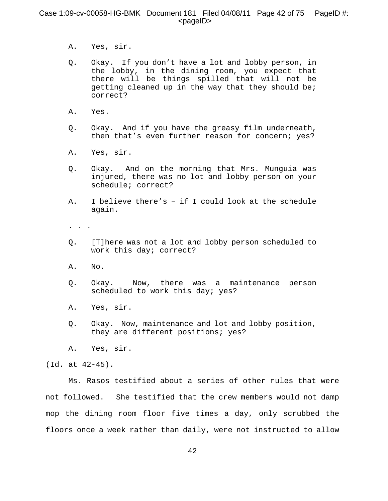## Case 1:09-cv-00058-HG-BMK Document 181 Filed 04/08/11 Page 42 of 75 PageID #:  $<$ pageID $>$

- A. Yes, sir.
- Q. Okay. If you don't have a lot and lobby person, in the lobby, in the dining room, you expect that there will be things spilled that will not be getting cleaned up in the way that they should be; correct?
- A. Yes.
- Q. Okay. And if you have the greasy film underneath, then that's even further reason for concern; yes?
- A. Yes, sir.
- Q. Okay. And on the morning that Mrs. Munguia was injured, there was no lot and lobby person on your schedule; correct?
- A. I believe there's if I could look at the schedule again.
- . . .
- Q. [T]here was not a lot and lobby person scheduled to work this day; correct?
- A. No.
- Q. Okay. Now, there was a maintenance person scheduled to work this day; yes?
- A. Yes, sir.
- Q. Okay. Now, maintenance and lot and lobby position, they are different positions; yes?
- A. Yes, sir.

(Id. at 42-45).

Ms. Rasos testified about a series of other rules that were not followed. She testified that the crew members would not damp mop the dining room floor five times a day, only scrubbed the floors once a week rather than daily, were not instructed to allow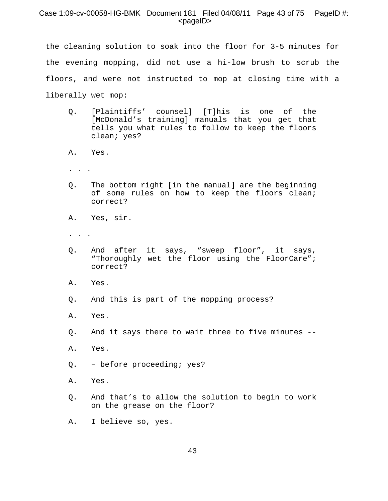## Case 1:09-cv-00058-HG-BMK Document 181 Filed 04/08/11 Page 43 of 75 PageID #: <pageID>

the cleaning solution to soak into the floor for 3-5 minutes for the evening mopping, did not use a hi-low brush to scrub the floors, and were not instructed to mop at closing time with a liberally wet mop:

- Q. [Plaintiffs' counsel] [T]his is one of the [McDonald's training] manuals that you get that tells you what rules to follow to keep the floors clean; yes?
- A. Yes.
- . . .
- Q. The bottom right [in the manual] are the beginning of some rules on how to keep the floors clean; correct?
- A. Yes, sir.
- . . .
- Q. And after it says, "sweep floor", it says, "Thoroughly wet the floor using the FloorCare"; correct?
- A. Yes.
- Q. And this is part of the mopping process?
- A. Yes.
- Q. And it says there to wait three to five minutes --
- A. Yes.
- Q. before proceeding; yes?
- A. Yes.
- Q. And that's to allow the solution to begin to work on the grease on the floor?
- A. I believe so, yes.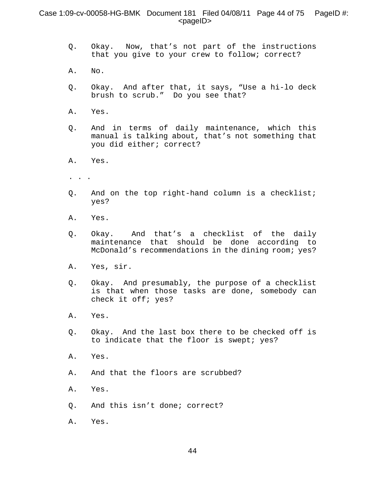# Case 1:09-cv-00058-HG-BMK Document 181 Filed 04/08/11 Page 44 of 75 PageID #: <pageID>

- Q. Okay. Now, that's not part of the instructions that you give to your crew to follow; correct?
- A. No.
- Q. Okay. And after that, it says, "Use a hi-lo deck brush to scrub." Do you see that?
- A. Yes.
- Q. And in terms of daily maintenance, which this manual is talking about, that's not something that you did either; correct?
- A. Yes.
- . . .
- Q. And on the top right-hand column is a checklist; yes?
- A. Yes.
- Q. Okay. And that's a checklist of the daily maintenance that should be done according to McDonald's recommendations in the dining room; yes?
- A. Yes, sir.
- Q. Okay. And presumably, the purpose of a checklist is that when those tasks are done, somebody can check it off; yes?
- A. Yes.
- Q. Okay. And the last box there to be checked off is to indicate that the floor is swept; yes?
- A. Yes.
- A. And that the floors are scrubbed?
- A. Yes.
- Q. And this isn't done; correct?
- A. Yes.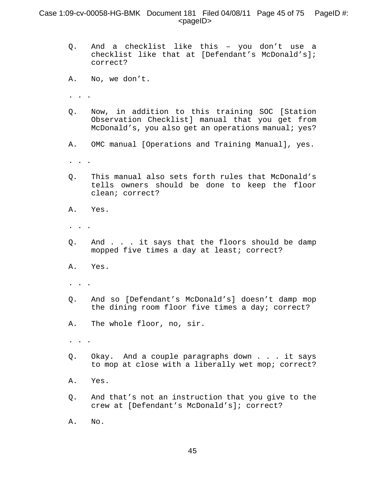# Case 1:09-cv-00058-HG-BMK Document 181 Filed 04/08/11 Page 45 of 75 PageID #:  $<$ pageID $>$

- Q. And a checklist like this you don't use a checklist like that at [Defendant's McDonald's]; correct?
- A. No, we don't.
- . . .
- Q. Now, in addition to this training SOC [Station Observation Checklist] manual that you get from McDonald's, you also get an operations manual; yes?
- A. OMC manual [Operations and Training Manual], yes.
- . . .
- Q. This manual also sets forth rules that McDonald's tells owners should be done to keep the floor clean; correct?
- A. Yes.
- . . .
- Q. And . . . it says that the floors should be damp mopped five times a day at least; correct?
- A. Yes.
- . . .
- Q. And so [Defendant's McDonald's] doesn't damp mop the dining room floor five times a day; correct?
- A. The whole floor, no, sir.
- . . .
- Q. Okay. And a couple paragraphs down . . . it says to mop at close with a liberally wet mop; correct?
- A. Yes.
- Q. And that's not an instruction that you give to the crew at [Defendant's McDonald's]; correct?
- A. No.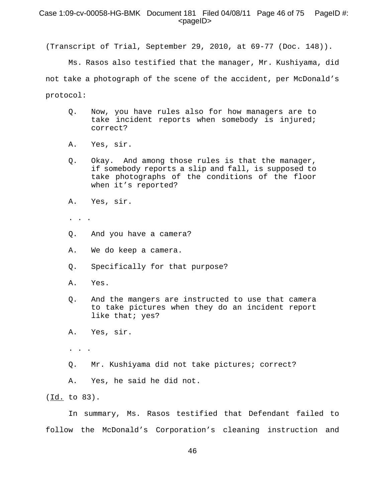## Case 1:09-cv-00058-HG-BMK Document 181 Filed 04/08/11 Page 46 of 75 PageID #: <pageID>

(Transcript of Trial, September 29, 2010, at 69-77 (Doc. 148)).

Ms. Rasos also testified that the manager, Mr. Kushiyama, did not take a photograph of the scene of the accident, per McDonald's protocol:

- Q. Now, you have rules also for how managers are to take incident reports when somebody is injured; correct?
- A. Yes, sir.
- Q. Okay. And among those rules is that the manager, if somebody reports a slip and fall, is supposed to take photographs of the conditions of the floor when it's reported?
- A. Yes, sir.
- . . .
- Q. And you have a camera?
- A. We do keep a camera.
- Q. Specifically for that purpose?
- A. Yes.
- Q. And the mangers are instructed to use that camera to take pictures when they do an incident report like that; yes?
- A. Yes, sir.
- . . .
- Q. Mr. Kushiyama did not take pictures; correct?
- A. Yes, he said he did not.

(Id. to 83).

In summary, Ms. Rasos testified that Defendant failed to follow the McDonald's Corporation's cleaning instruction and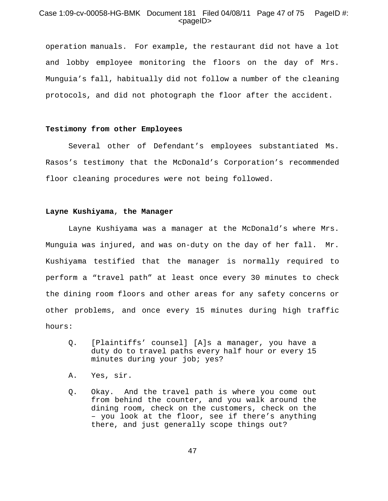# Case 1:09-cv-00058-HG-BMK Document 181 Filed 04/08/11 Page 47 of 75 PageID #: <pageID>

operation manuals. For example, the restaurant did not have a lot and lobby employee monitoring the floors on the day of Mrs. Munguia's fall, habitually did not follow a number of the cleaning protocols, and did not photograph the floor after the accident.

## **Testimony from other Employees**

Several other of Defendant's employees substantiated Ms. Rasos's testimony that the McDonald's Corporation's recommended floor cleaning procedures were not being followed.

### **Layne Kushiyama**, **the Manager**

Layne Kushiyama was a manager at the McDonald's where Mrs. Munguia was injured, and was on-duty on the day of her fall. Mr. Kushiyama testified that the manager is normally required to perform a "travel path" at least once every 30 minutes to check the dining room floors and other areas for any safety concerns or other problems, and once every 15 minutes during high traffic hours:

- Q. [Plaintiffs' counsel] [A]s a manager, you have a duty do to travel paths every half hour or every 15 minutes during your job; yes?
- A. Yes, sir.
- Q. Okay. And the travel path is where you come out from behind the counter, and you walk around the dining room, check on the customers, check on the – you look at the floor, see if there's anything there, and just generally scope things out?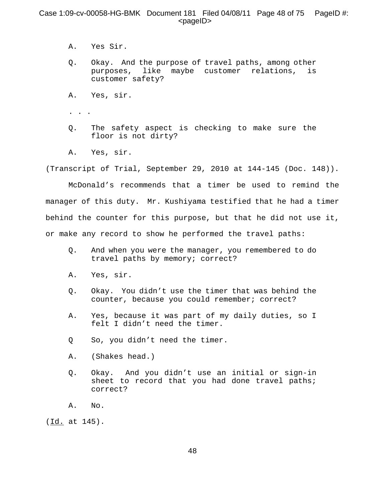# Case 1:09-cv-00058-HG-BMK Document 181 Filed 04/08/11 Page 48 of 75 PageID #:  $<$ pageID $>$

- A. Yes Sir.
- Q. Okay. And the purpose of travel paths, among other purposes, like maybe customer relations, is customer safety?
- A. Yes, sir.
- . . .
- Q. The safety aspect is checking to make sure the floor is not dirty?
- A. Yes, sir.

(Transcript of Trial, September 29, 2010 at 144-145 (Doc. 148)).

McDonald's recommends that a timer be used to remind the manager of this duty. Mr. Kushiyama testified that he had a timer behind the counter for this purpose, but that he did not use it, or make any record to show he performed the travel paths:

- Q. And when you were the manager, you remembered to do travel paths by memory; correct?
- A. Yes, sir.
- Q. Okay. You didn't use the timer that was behind the counter, because you could remember; correct?
- A. Yes, because it was part of my daily duties, so I felt I didn't need the timer.
- Q So, you didn't need the timer.
- A. (Shakes head.)
- Q. Okay. And you didn't use an initial or sign-in sheet to record that you had done travel paths; correct?
- A. No.

(Id. at 145).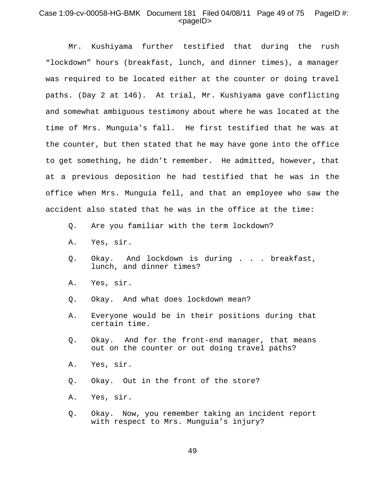# Case 1:09-cv-00058-HG-BMK Document 181 Filed 04/08/11 Page 49 of 75 PageID #: <pageID>

Mr. Kushiyama further testified that during the rush "lockdown" hours (breakfast, lunch, and dinner times), a manager was required to be located either at the counter or doing travel paths. (Day 2 at 146). At trial, Mr. Kushiyama gave conflicting and somewhat ambiguous testimony about where he was located at the time of Mrs. Munguia's fall. He first testified that he was at the counter, but then stated that he may have gone into the office to get something, he didn't remember. He admitted, however, that at a previous deposition he had testified that he was in the office when Mrs. Munguia fell, and that an employee who saw the accident also stated that he was in the office at the time:

- Q. Are you familiar with the term lockdown?
- A. Yes, sir.
- Q. Okay. And lockdown is during . . . breakfast, lunch, and dinner times?
- A. Yes, sir.
- Q. Okay. And what does lockdown mean?
- A. Everyone would be in their positions during that certain time.
- Q. Okay. And for the front-end manager, that means out on the counter or out doing travel paths?
- A. Yes, sir.
- Q. Okay. Out in the front of the store?
- A. Yes, sir.
- Q. Okay. Now, you remember taking an incident report with respect to Mrs. Munguia's injury?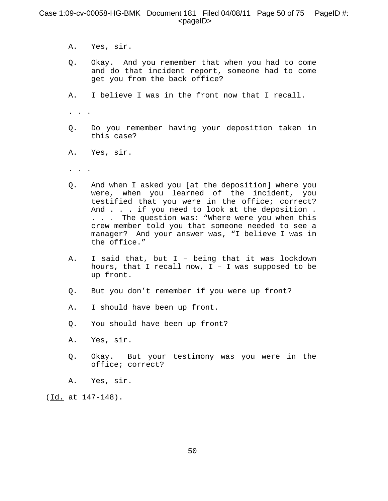# Case 1:09-cv-00058-HG-BMK Document 181 Filed 04/08/11 Page 50 of 75 PageID #:  $<$ pageID $>$

- A. Yes, sir.
- Q. Okay. And you remember that when you had to come and do that incident report, someone had to come get you from the back office?
- A. I believe I was in the front now that I recall.

. . .

- Q. Do you remember having your deposition taken in this case?
- A. Yes, sir.
- . . .
- Q. And when I asked you [at the deposition] where you were, when you learned of the incident, you testified that you were in the office; correct? And . . . if you need to look at the deposition . . . . The question was: "Where were you when this crew member told you that someone needed to see a manager? And your answer was, "I believe I was in the office."
- A. I said that, but I being that it was lockdown hours, that I recall now,  $I - I$  was supposed to be up front.
- Q. But you don't remember if you were up front?
- A. I should have been up front.
- Q. You should have been up front?
- A. Yes, sir.
- Q. Okay. But your testimony was you were in the office; correct?
- A. Yes, sir.

(Id. at 147-148).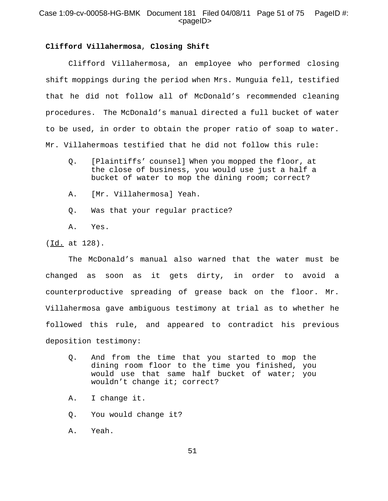# Case 1:09-cv-00058-HG-BMK Document 181 Filed 04/08/11 Page 51 of 75 PageID #:  $<$ pageID $>$

## **Clifford Villahermosa**, **Closing Shift**

Clifford Villahermosa, an employee who performed closing shift moppings during the period when Mrs. Munguia fell, testified that he did not follow all of McDonald's recommended cleaning procedures. The McDonald's manual directed a full bucket of water to be used, in order to obtain the proper ratio of soap to water. Mr. Villahermoas testified that he did not follow this rule:

- Q. [Plaintiffs' counsel] When you mopped the floor, at the close of business, you would use just a half a bucket of water to mop the dining room; correct?
- A. [Mr. Villahermosa] Yeah.
- Q. Was that your regular practice?

A. Yes.

(Id. at 128).

The McDonald's manual also warned that the water must be changed as soon as it gets dirty, in order to avoid a counterproductive spreading of grease back on the floor. Mr. Villahermosa gave ambiguous testimony at trial as to whether he followed this rule, and appeared to contradict his previous deposition testimony:

- Q. And from the time that you started to mop the dining room floor to the time you finished, you would use that same half bucket of water; you wouldn't change it; correct?
- A. I change it.
- Q. You would change it?
- A. Yeah.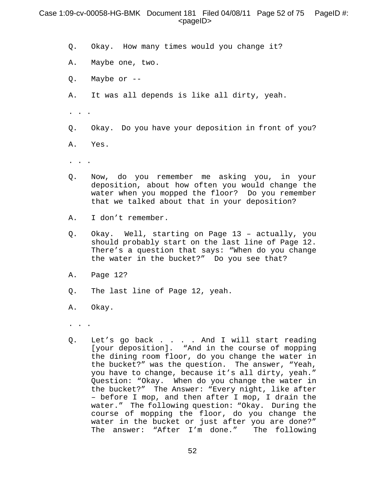## Case 1:09-cv-00058-HG-BMK Document 181 Filed 04/08/11 Page 52 of 75 PageID #:  $<$ pageID $>$

- Q. Okay. How many times would you change it?
- A. Maybe one, two.
- Q. Maybe or --
- A. It was all depends is like all dirty, yeah.
- . . .
- Q. Okay. Do you have your deposition in front of you?
- A. Yes.
- . . .
- Q. Now, do you remember me asking you, in your deposition, about how often you would change the water when you mopped the floor? Do you remember that we talked about that in your deposition?
- A. I don't remember.
- Q. Okay. Well, starting on Page 13 actually, you should probably start on the last line of Page 12. There's a question that says: "When do you change the water in the bucket?" Do you see that?
- A. Page 12?
- Q. The last line of Page 12, yeah.
- A. Okay.
- . . .
- Q. Let's go back . . . . And I will start reading [your deposition]. "And in the course of mopping the dining room floor, do you change the water in the bucket?" was the question. The answer, "Yeah, you have to change, because it's all dirty, yeah." Question: "Okay. When do you change the water in the bucket?" The Answer: "Every night, like after – before I mop, and then after I mop, I drain the water." The following question: "Okay. During the course of mopping the floor, do you change the water in the bucket or just after you are done?" The answer: "After I'm done." The following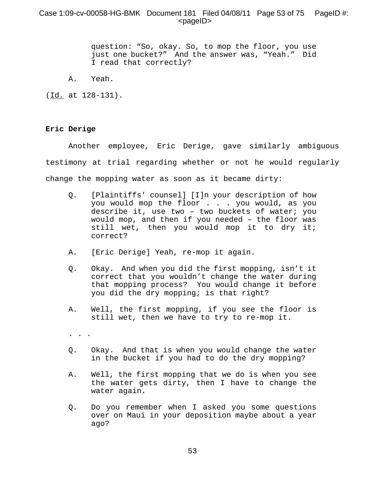# Case 1:09-cv-00058-HG-BMK Document 181 Filed 04/08/11 Page 53 of 75 PageID #: <pageID>

question: "So, okay. So, to mop the floor, you use just one bucket?" And the answer was, "Yeah." Did I read that correctly?

A. Yeah.

(Id. at 128-131).

## **Eric Derige**

Another employee, Eric Derige, gave similarly ambiguous testimony at trial regarding whether or not he would regularly change the mopping water as soon as it became dirty:

- Q. [Plaintiffs' counsel] [I]n your description of how you would mop the floor . . . you would, as you describe it, use two – two buckets of water; you would mop, and then if you needed – the floor was still wet, then you would mop it to dry it; correct?
- A. [Eric Derige] Yeah, re-mop it again.
- Q. Okay. And when you did the first mopping, isn't it correct that you wouldn't change the water during that mopping process? You would change it before you did the dry mopping; is that right?
- A. Well, the first mopping, if you see the floor is still wet, then we have to try to re-mop it.
- . . .
- Q. Okay. And that is when you would change the water in the bucket if you had to do the dry mopping?
- A. Well, the first mopping that we do is when you see the water gets dirty, then I have to change the water again.
- Q. Do you remember when I asked you some questions over on Maui in your deposition maybe about a year ago?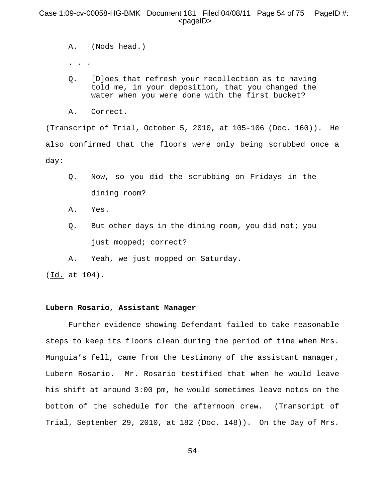# Case 1:09-cv-00058-HG-BMK Document 181 Filed 04/08/11 Page 54 of 75 PageID #: <pageID>

- A. (Nods head.)
- . . .
- Q. [D]oes that refresh your recollection as to having told me, in your deposition, that you changed the water when you were done with the first bucket?
- A. Correct.

(Transcript of Trial, October 5, 2010, at 105-106 (Doc. 160)). He also confirmed that the floors were only being scrubbed once a day:

- Q. Now, so you did the scrubbing on Fridays in the dining room?
- A. Yes.
- Q. But other days in the dining room, you did not; you just mopped; correct?
- A. Yeah, we just mopped on Saturday.

(Id. at 104).

## **Lubern Rosario, Assistant Manager**

Further evidence showing Defendant failed to take reasonable steps to keep its floors clean during the period of time when Mrs. Munguia's fell, came from the testimony of the assistant manager, Lubern Rosario. Mr. Rosario testified that when he would leave his shift at around 3:00 pm, he would sometimes leave notes on the bottom of the schedule for the afternoon crew. (Transcript of Trial, September 29, 2010, at 182 (Doc. 148)). On the Day of Mrs.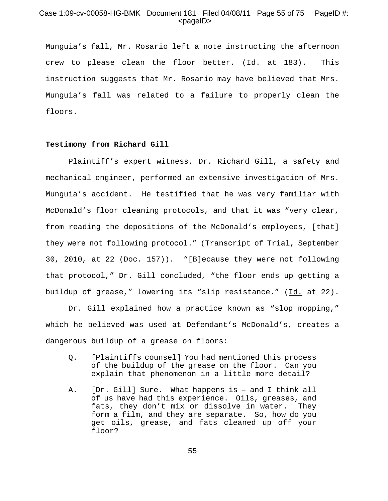# Case 1:09-cv-00058-HG-BMK Document 181 Filed 04/08/11 Page 55 of 75 PageID #:  $<$ pageID $>$

Munguia's fall, Mr. Rosario left a note instructing the afternoon crew to please clean the floor better.  $(\underline{Id.}$  at 183). This instruction suggests that Mr. Rosario may have believed that Mrs. Munguia's fall was related to a failure to properly clean the floors.

### **Testimony from Richard Gill**

Plaintiff's expert witness, Dr. Richard Gill, a safety and mechanical engineer, performed an extensive investigation of Mrs. Munguia's accident. He testified that he was very familiar with McDonald's floor cleaning protocols, and that it was "very clear, from reading the depositions of the McDonald's employees, [that] they were not following protocol." (Transcript of Trial, September 30, 2010, at 22 (Doc. 157)). "[B]ecause they were not following that protocol," Dr. Gill concluded, "the floor ends up getting a buildup of grease," lowering its "slip resistance." (Id. at 22).

Dr. Gill explained how a practice known as "slop mopping," which he believed was used at Defendant's McDonald's, creates a dangerous buildup of a grease on floors:

- Q. [Plaintiffs counsel] You had mentioned this process of the buildup of the grease on the floor. Can you explain that phenomenon in a little more detail?
- A. [Dr. Gill] Sure. What happens is and I think all of us have had this experience. Oils, greases, and fats, they don't mix or dissolve in water. They form a film, and they are separate. So, how do you get oils, grease, and fats cleaned up off your floor?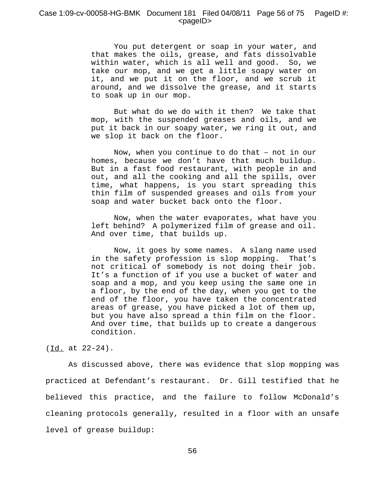## Case 1:09-cv-00058-HG-BMK Document 181 Filed 04/08/11 Page 56 of 75 PageID #:  $<$ pageID $>$

You put detergent or soap in your water, and that makes the oils, grease, and fats dissolvable within water, which is all well and good. So, we take our mop, and we get a little soapy water on it, and we put it on the floor, and we scrub it around, and we dissolve the grease, and it starts to soak up in our mop.

But what do we do with it then? We take that mop, with the suspended greases and oils, and we put it back in our soapy water, we ring it out, and we slop it back on the floor.

Now, when you continue to do that – not in our homes, because we don't have that much buildup. But in a fast food restaurant, with people in and out, and all the cooking and all the spills, over time, what happens, is you start spreading this thin film of suspended greases and oils from your soap and water bucket back onto the floor.

Now, when the water evaporates, what have you left behind? A polymerized film of grease and oil. And over time, that builds up.

Now, it goes by some names. A slang name used in the safety profession is slop mopping. That's not critical of somebody is not doing their job. It's a function of if you use a bucket of water and soap and a mop, and you keep using the same one in a floor, by the end of the day, when you get to the end of the floor, you have taken the concentrated areas of grease, you have picked a lot of them up, but you have also spread a thin film on the floor. And over time, that builds up to create a dangerous condition.

## (Id. at 22-24).

As discussed above, there was evidence that slop mopping was practiced at Defendant's restaurant. Dr. Gill testified that he believed this practice, and the failure to follow McDonald's cleaning protocols generally, resulted in a floor with an unsafe level of grease buildup: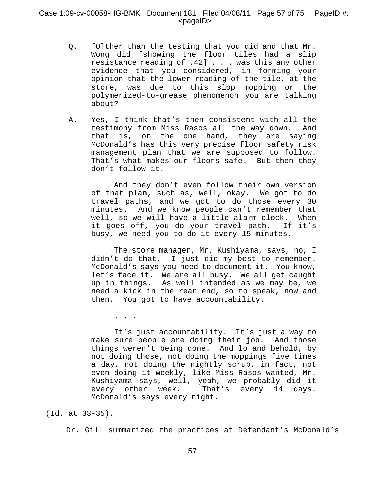# Case 1:09-cv-00058-HG-BMK Document 181 Filed 04/08/11 Page 57 of 75 PageID #:  $<$ pageID $>$

- Q. [O]ther than the testing that you did and that Mr. Wong did [showing the floor tiles had a slip resistance reading of .42] . . . was this any other evidence that you considered, in forming your opinion that the lower reading of the tile, at the store, was due to this slop mopping or the polymerized-to-grease phenomenon you are talking about?
- A. Yes, I think that's then consistent with all the testimony from Miss Rasos all the way down. And that is, on the one hand, they are saying McDonald's has this very precise floor safety risk management plan that we are supposed to follow. That's what makes our floors safe. But then they don't follow it.

And they don't even follow their own version of that plan, such as, well, okay. We got to do travel paths, and we got to do those every 30 minutes. And we know people can't remember that well, so we will have a little alarm clock. When it goes off, you do your travel path. If it's busy, we need you to do it every 15 minutes.

The store manager, Mr. Kushiyama, says, no, I didn't do that. I just did my best to remember. McDonald's says you need to document it. You know, let's face it. We are all busy. We all get caught up in things. As well intended as we may be, we need a kick in the rear end, so to speak, now and then. You got to have accountability.

. . .

It's just accountability. It's just a way to make sure people are doing their job. And those things weren't being done. And lo and behold, by not doing those, not doing the moppings five times a day, not doing the nightly scrub, in fact, not even doing it weekly, like Miss Rasos wanted, Mr. Kushiyama says, well, yeah, we probably did it every other week. That's every 14 days. McDonald's says every night.

Dr. Gill summarized the practices at Defendant's McDonald's

<sup>(</sup>Id. at 33-35).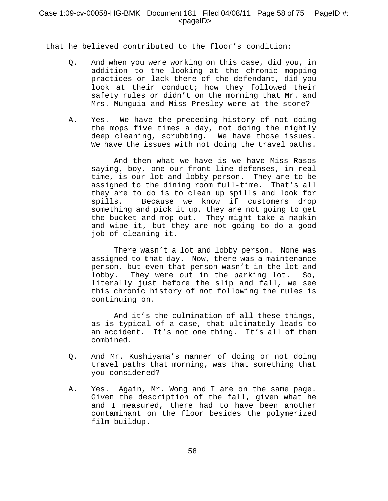# Case 1:09-cv-00058-HG-BMK Document 181 Filed 04/08/11 Page 58 of 75 PageID #:  $<$ pageID $>$

that he believed contributed to the floor's condition:

- Q. And when you were working on this case, did you, in addition to the looking at the chronic mopping practices or lack there of the defendant, did you look at their conduct; how they followed their safety rules or didn't on the morning that Mr. and Mrs. Munguia and Miss Presley were at the store?
- A. Yes. We have the preceding history of not doing the mops five times a day, not doing the nightly deep cleaning, scrubbing. We have those issues. We have the issues with not doing the travel paths.

And then what we have is we have Miss Rasos saying, boy, one our front line defenses, in real time, is our lot and lobby person. They are to be assigned to the dining room full-time. That's all they are to do is to clean up spills and look for spills. Because we know if customers drop something and pick it up, they are not going to get the bucket and mop out. They might take a napkin and wipe it, but they are not going to do a good job of cleaning it.

There wasn't a lot and lobby person. None was assigned to that day. Now, there was a maintenance person, but even that person wasn't in the lot and lobby. They were out in the parking lot. So, literally just before the slip and fall, we see this chronic history of not following the rules is continuing on.

And it's the culmination of all these things, as is typical of a case, that ultimately leads to an accident. It's not one thing. It's all of them combined.

- Q. And Mr. Kushiyama's manner of doing or not doing travel paths that morning, was that something that you considered?
- A. Yes. Again, Mr. Wong and I are on the same page. Given the description of the fall, given what he and I measured, there had to have been another contaminant on the floor besides the polymerized film buildup.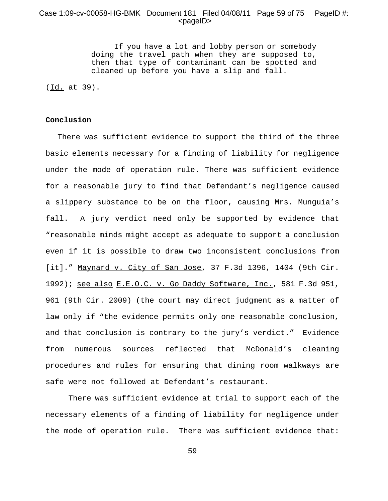## Case 1:09-cv-00058-HG-BMK Document 181 Filed 04/08/11 Page 59 of 75 PageID #:  $<$ pageID $>$

If you have a lot and lobby person or somebody doing the travel path when they are supposed to, then that type of contaminant can be spotted and cleaned up before you have a slip and fall.

(Id. at 39).

#### **Conclusion**

 There was sufficient evidence to support the third of the three basic elements necessary for a finding of liability for negligence under the mode of operation rule. There was sufficient evidence for a reasonable jury to find that Defendant's negligence caused a slippery substance to be on the floor, causing Mrs. Munguia's fall. A jury verdict need only be supported by evidence that "reasonable minds might accept as adequate to support a conclusion even if it is possible to draw two inconsistent conclusions from [it]." Maynard v. City of San Jose, 37 F.3d 1396, 1404 (9th Cir. 1992); see also E.E.O.C. v. Go Daddy Software, Inc., 581 F.3d 951, 961 (9th Cir. 2009) (the court may direct judgment as a matter of law only if "the evidence permits only one reasonable conclusion, and that conclusion is contrary to the jury's verdict." Evidence from numerous sources reflected that McDonald's cleaning procedures and rules for ensuring that dining room walkways are safe were not followed at Defendant's restaurant.

There was sufficient evidence at trial to support each of the necessary elements of a finding of liability for negligence under the mode of operation rule. There was sufficient evidence that: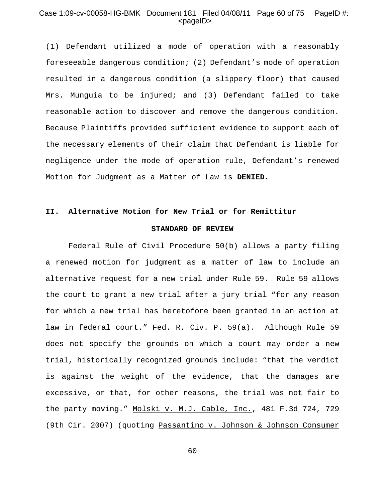# Case 1:09-cv-00058-HG-BMK Document 181 Filed 04/08/11 Page 60 of 75 PageID #:  $<$ pageID $>$

(1) Defendant utilized a mode of operation with a reasonably foreseeable dangerous condition; (2) Defendant's mode of operation resulted in a dangerous condition (a slippery floor) that caused Mrs. Munguia to be injured; and (3) Defendant failed to take reasonable action to discover and remove the dangerous condition. Because Plaintiffs provided sufficient evidence to support each of the necessary elements of their claim that Defendant is liable for negligence under the mode of operation rule, Defendant's renewed Motion for Judgment as a Matter of Law is **DENIED.** 

## **II. Alternative Motion for New Trial or for Remittitur**

### **STANDARD OF REVIEW**

Federal Rule of Civil Procedure 50(b) allows a party filing a renewed motion for judgment as a matter of law to include an alternative request for a new trial under Rule 59. Rule 59 allows the court to grant a new trial after a jury trial "for any reason for which a new trial has heretofore been granted in an action at law in federal court." Fed. R. Civ. P. 59(a). Although Rule 59 does not specify the grounds on which a court may order a new trial, historically recognized grounds include: "that the verdict is against the weight of the evidence, that the damages are excessive, or that, for other reasons, the trial was not fair to the party moving." Molski v. M.J. Cable, Inc., 481 F.3d 724, 729 (9th Cir. 2007) (quoting Passantino v. Johnson & Johnson Consumer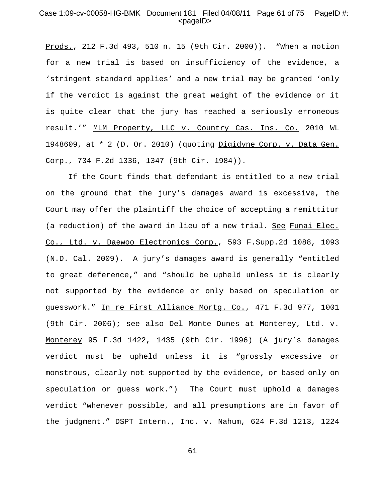## Case 1:09-cv-00058-HG-BMK Document 181 Filed 04/08/11 Page 61 of 75 PageID #:  $<$ pageID $>$

Prods., 212 F.3d 493, 510 n. 15 (9th Cir. 2000)). "When a motion for a new trial is based on insufficiency of the evidence, a 'stringent standard applies' and a new trial may be granted 'only if the verdict is against the great weight of the evidence or it is quite clear that the jury has reached a seriously erroneous result.'" MLM Property, LLC v. Country Cas. Ins. Co. 2010 WL 1948609, at \* 2 (D. Or. 2010) (quoting Digidyne Corp. v. Data Gen. Corp., 734 F.2d 1336, 1347 (9th Cir. 1984)).

If the Court finds that defendant is entitled to a new trial on the ground that the jury's damages award is excessive, the Court may offer the plaintiff the choice of accepting a remittitur (a reduction) of the award in lieu of a new trial. See Funai Elec. Co., Ltd. v. Daewoo Electronics Corp., 593 F.Supp.2d 1088, 1093 (N.D. Cal. 2009). A jury's damages award is generally "entitled to great deference," and "should be upheld unless it is clearly not supported by the evidence or only based on speculation or guesswork." In re First Alliance Mortg. Co., 471 F.3d 977, 1001 (9th Cir. 2006); see also Del Monte Dunes at Monterey, Ltd. v. Monterey 95 F.3d 1422, 1435 (9th Cir. 1996) (A jury's damages verdict must be upheld unless it is "grossly excessive or monstrous, clearly not supported by the evidence, or based only on speculation or guess work.") The Court must uphold a damages verdict "whenever possible, and all presumptions are in favor of the judgment." DSPT Intern., Inc. v. Nahum, 624 F.3d 1213, 1224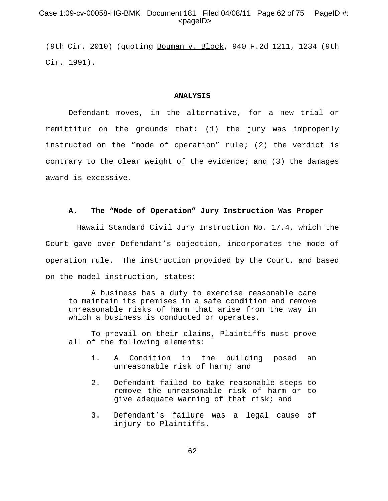# Case 1:09-cv-00058-HG-BMK Document 181 Filed 04/08/11 Page 62 of 75 PageID #:  $<$ pageID $>$

(9th Cir. 2010) (quoting Bouman v. Block, 940 F.2d 1211, 1234 (9th Cir. 1991).

#### **ANALYSIS**

Defendant moves, in the alternative, for a new trial or remittitur on the grounds that: (1) the jury was improperly instructed on the "mode of operation" rule; (2) the verdict is contrary to the clear weight of the evidence; and (3) the damages award is excessive.

#### **A. The "Mode of Operation" Jury Instruction Was Proper**

 Hawaii Standard Civil Jury Instruction No. 17.4, which the Court gave over Defendant's objection, incorporates the mode of operation rule. The instruction provided by the Court, and based on the model instruction, states:

A business has a duty to exercise reasonable care to maintain its premises in a safe condition and remove unreasonable risks of harm that arise from the way in which a business is conducted or operates.

To prevail on their claims, Plaintiffs must prove all of the following elements:

- 1. A Condition in the building posed an unreasonable risk of harm; and
- 2. Defendant failed to take reasonable steps to remove the unreasonable risk of harm or to give adequate warning of that risk; and
- 3. Defendant's failure was a legal cause of injury to Plaintiffs.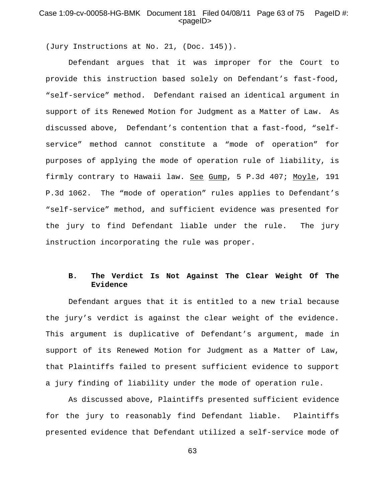# Case 1:09-cv-00058-HG-BMK Document 181 Filed 04/08/11 Page 63 of 75 PageID #:  $<$ pageID $>$

(Jury Instructions at No. 21, (Doc. 145)).

Defendant argues that it was improper for the Court to provide this instruction based solely on Defendant's fast-food, "self-service" method. Defendant raised an identical argument in support of its Renewed Motion for Judgment as a Matter of Law. As discussed above, Defendant's contention that a fast-food, "selfservice" method cannot constitute a "mode of operation" for purposes of applying the mode of operation rule of liability, is firmly contrary to Hawaii law. See Gump, 5 P.3d 407; Moyle, 191 P.3d 1062. The "mode of operation" rules applies to Defendant's "self-service" method, and sufficient evidence was presented for the jury to find Defendant liable under the rule. The jury instruction incorporating the rule was proper.

# **B. The Verdict Is Not Against The Clear Weight Of The Evidence**

Defendant argues that it is entitled to a new trial because the jury's verdict is against the clear weight of the evidence. This argument is duplicative of Defendant's argument, made in support of its Renewed Motion for Judgment as a Matter of Law, that Plaintiffs failed to present sufficient evidence to support a jury finding of liability under the mode of operation rule.

As discussed above, Plaintiffs presented sufficient evidence for the jury to reasonably find Defendant liable. Plaintiffs presented evidence that Defendant utilized a self-service mode of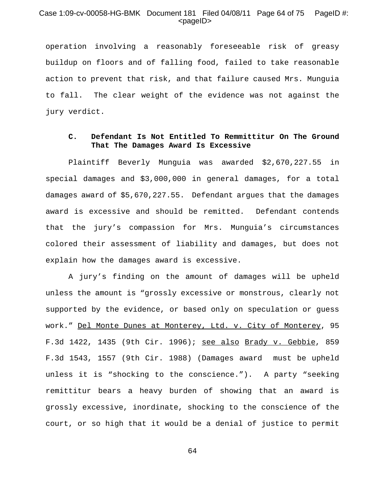## Case 1:09-cv-00058-HG-BMK Document 181 Filed 04/08/11 Page 64 of 75 PageID #:  $<$ pageID $>$

operation involving a reasonably foreseeable risk of greasy buildup on floors and of falling food, failed to take reasonable action to prevent that risk, and that failure caused Mrs. Munguia to fall. The clear weight of the evidence was not against the jury verdict.

## **C. Defendant Is Not Entitled To Remmittitur On The Ground That The Damages Award Is Excessive**

Plaintiff Beverly Munguia was awarded \$2,670,227.55 in special damages and \$3,000,000 in general damages, for a total damages award of \$5,670,227.55. Defendant argues that the damages award is excessive and should be remitted. Defendant contends that the jury's compassion for Mrs. Munguia's circumstances colored their assessment of liability and damages, but does not explain how the damages award is excessive.

A jury's finding on the amount of damages will be upheld unless the amount is "grossly excessive or monstrous, clearly not supported by the evidence, or based only on speculation or guess work." Del Monte Dunes at Monterey, Ltd. v. City of Monterey, 95 F.3d 1422, 1435 (9th Cir. 1996); see also Brady v. Gebbie, 859 F.3d 1543, 1557 (9th Cir. 1988) (Damages award must be upheld unless it is "shocking to the conscience."). A party "seeking remittitur bears a heavy burden of showing that an award is grossly excessive, inordinate, shocking to the conscience of the court, or so high that it would be a denial of justice to permit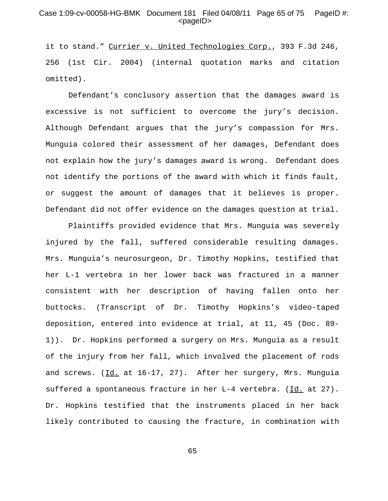# Case 1:09-cv-00058-HG-BMK Document 181 Filed 04/08/11 Page 65 of 75 PageID #:  $<$ pageID $>$

it to stand." Currier v. United Technologies Corp., 393 F.3d 246, 256 (1st Cir. 2004) (internal quotation marks and citation omitted).

Defendant's conclusory assertion that the damages award is excessive is not sufficient to overcome the jury's decision. Although Defendant argues that the jury's compassion for Mrs. Munguia colored their assessment of her damages, Defendant does not explain how the jury's damages award is wrong. Defendant does not identify the portions of the award with which it finds fault, or suggest the amount of damages that it believes is proper. Defendant did not offer evidence on the damages question at trial.

Plaintiffs provided evidence that Mrs. Munguia was severely injured by the fall, suffered considerable resulting damages. Mrs. Munguia's neurosurgeon, Dr. Timothy Hopkins, testified that her L-1 vertebra in her lower back was fractured in a manner consistent with her description of having fallen onto her buttocks. (Transcript of Dr. Timothy Hopkins's video-taped deposition, entered into evidence at trial, at 11, 45 (Doc. 89- 1)). Dr. Hopkins performed a surgery on Mrs. Munguia as a result of the injury from her fall, which involved the placement of rods and screws. (Id. at 16-17, 27). After her surgery, Mrs. Munguia suffered a spontaneous fracture in her L-4 vertebra. (Id. at 27). Dr. Hopkins testified that the instruments placed in her back likely contributed to causing the fracture, in combination with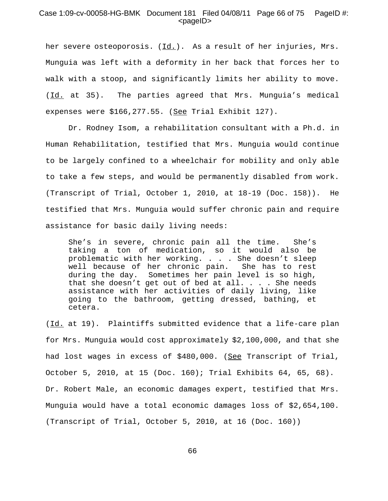## Case 1:09-cv-00058-HG-BMK Document 181 Filed 04/08/11 Page 66 of 75 PageID #:  $<$ pageID $>$

her severe osteoporosis.  $(\underline{Id.})$ . As a result of her injuries, Mrs. Munguia was left with a deformity in her back that forces her to walk with a stoop, and significantly limits her ability to move. (Id. at 35). The parties agreed that Mrs. Munguia's medical expenses were \$166,277.55. (See Trial Exhibit 127).

Dr. Rodney Isom, a rehabilitation consultant with a Ph.d. in Human Rehabilitation, testified that Mrs. Munguia would continue to be largely confined to a wheelchair for mobility and only able to take a few steps, and would be permanently disabled from work. (Transcript of Trial, October 1, 2010, at 18-19 (Doc. 158)). He testified that Mrs. Munguia would suffer chronic pain and require assistance for basic daily living needs:

She's in severe, chronic pain all the time. She's taking a ton of medication, so it would also be problematic with her working. . . . She doesn't sleep well because of her chronic pain. She has to rest during the day. Sometimes her pain level is so high, that she doesn't get out of bed at all. . . . She needs assistance with her activities of daily living, like going to the bathroom, getting dressed, bathing, et cetera.

(Id. at 19). Plaintiffs submitted evidence that a life-care plan for Mrs. Munguia would cost approximately \$2,100,000, and that she had lost wages in excess of \$480,000. (See Transcript of Trial, October 5, 2010, at 15 (Doc. 160); Trial Exhibits 64, 65, 68). Dr. Robert Male, an economic damages expert, testified that Mrs. Munguia would have a total economic damages loss of \$2,654,100. (Transcript of Trial, October 5, 2010, at 16 (Doc. 160))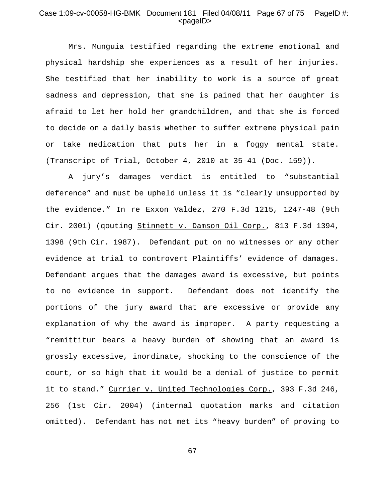# Case 1:09-cv-00058-HG-BMK Document 181 Filed 04/08/11 Page 67 of 75 PageID #:  $<$ pageID $>$

Mrs. Munguia testified regarding the extreme emotional and physical hardship she experiences as a result of her injuries. She testified that her inability to work is a source of great sadness and depression, that she is pained that her daughter is afraid to let her hold her grandchildren, and that she is forced to decide on a daily basis whether to suffer extreme physical pain or take medication that puts her in a foggy mental state. (Transcript of Trial, October 4, 2010 at 35-41 (Doc. 159)).

A jury's damages verdict is entitled to "substantial deference" and must be upheld unless it is "clearly unsupported by the evidence." In re Exxon Valdez, 270 F.3d 1215, 1247-48 (9th Cir. 2001) (qouting Stinnett v. Damson Oil Corp., 813 F.3d 1394, 1398 (9th Cir. 1987). Defendant put on no witnesses or any other evidence at trial to controvert Plaintiffs' evidence of damages. Defendant argues that the damages award is excessive, but points to no evidence in support. Defendant does not identify the portions of the jury award that are excessive or provide any explanation of why the award is improper. A party requesting a "remittitur bears a heavy burden of showing that an award is grossly excessive, inordinate, shocking to the conscience of the court, or so high that it would be a denial of justice to permit it to stand." Currier v. United Technologies Corp., 393 F.3d 246, 256 (1st Cir. 2004) (internal quotation marks and citation omitted). Defendant has not met its "heavy burden" of proving to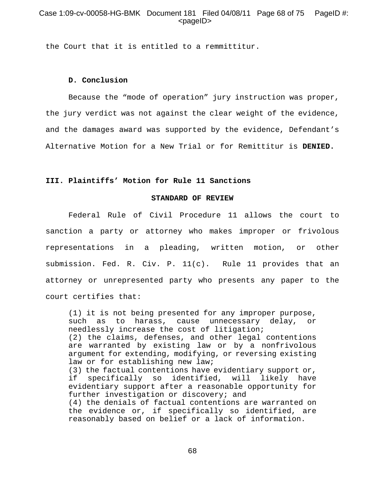# Case 1:09-cv-00058-HG-BMK Document 181 Filed 04/08/11 Page 68 of 75 PageID #:  $<$ pageID $>$

the Court that it is entitled to a remmittitur.

## **D. Conclusion**

Because the "mode of operation" jury instruction was proper, the jury verdict was not against the clear weight of the evidence, and the damages award was supported by the evidence, Defendant's Alternative Motion for a New Trial or for Remittitur is **DENIED.**

## **III. Plaintiffs' Motion for Rule 11 Sanctions**

## **STANDARD OF REVIEW**

Federal Rule of Civil Procedure 11 allows the court to sanction a party or attorney who makes improper or frivolous representations in a pleading, written motion, or other submission. Fed. R. Civ. P. 11(c). Rule 11 provides that an attorney or unrepresented party who presents any paper to the court certifies that:

(1) it is not being presented for any improper purpose, such as to harass, cause unnecessary delay, or needlessly increase the cost of litigation; (2) the claims, defenses, and other legal contentions are warranted by existing law or by a nonfrivolous argument for extending, modifying, or reversing existing law or for establishing new law; (3) the factual contentions have evidentiary support or, if specifically so identified, will likely have evidentiary support after a reasonable opportunity for further investigation or discovery; and (4) the denials of factual contentions are warranted on the evidence or, if specifically so identified, are reasonably based on belief or a lack of information.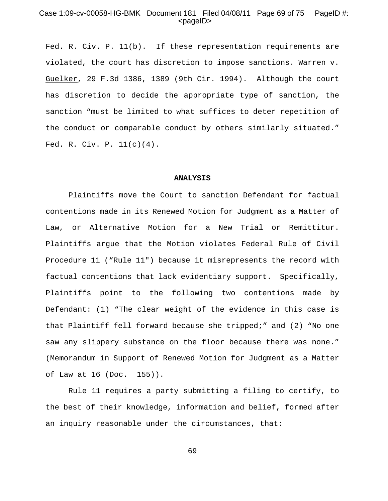## Case 1:09-cv-00058-HG-BMK Document 181 Filed 04/08/11 Page 69 of 75 PageID #:  $<$ pageID $>$

Fed. R. Civ. P. 11(b). If these representation requirements are violated, the court has discretion to impose sanctions. Warren v. Guelker, 29 F.3d 1386, 1389 (9th Cir. 1994). Although the court has discretion to decide the appropriate type of sanction, the sanction "must be limited to what suffices to deter repetition of the conduct or comparable conduct by others similarly situated." Fed. R. Civ. P. 11(c)(4).

#### **ANALYSIS**

Plaintiffs move the Court to sanction Defendant for factual contentions made in its Renewed Motion for Judgment as a Matter of Law, or Alternative Motion for a New Trial or Remittitur. Plaintiffs argue that the Motion violates Federal Rule of Civil Procedure 11 ("Rule 11") because it misrepresents the record with factual contentions that lack evidentiary support. Specifically, Plaintiffs point to the following two contentions made by Defendant: (1) "The clear weight of the evidence in this case is that Plaintiff fell forward because she tripped;" and (2) "No one saw any slippery substance on the floor because there was none." (Memorandum in Support of Renewed Motion for Judgment as a Matter of Law at 16 (Doc. 155)).

Rule 11 requires a party submitting a filing to certify, to the best of their knowledge, information and belief, formed after an inquiry reasonable under the circumstances, that: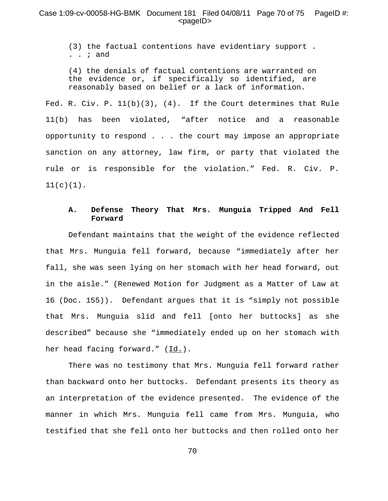## Case 1:09-cv-00058-HG-BMK Document 181 Filed 04/08/11 Page 70 of 75 PageID #: <pageID>

(3) the factual contentions have evidentiary support . . . ; and

(4) the denials of factual contentions are warranted on the evidence or, if specifically so identified, are reasonably based on belief or a lack of information.

Fed. R. Civ. P.  $11(b)(3)$ , (4). If the Court determines that Rule 11(b) has been violated, "after notice and a reasonable opportunity to respond . . . the court may impose an appropriate sanction on any attorney, law firm, or party that violated the rule or is responsible for the violation." Fed. R. Civ. P.  $11(c)(1)$ .

# **A. Defense Theory That Mrs. Munguia Tripped And Fell Forward**

Defendant maintains that the weight of the evidence reflected that Mrs. Munguia fell forward, because "immediately after her fall, she was seen lying on her stomach with her head forward, out in the aisle." (Renewed Motion for Judgment as a Matter of Law at 16 (Doc. 155)). Defendant argues that it is "simply not possible that Mrs. Munguia slid and fell [onto her buttocks] as she described" because she "immediately ended up on her stomach with her head facing forward." (Id.).

There was no testimony that Mrs. Munguia fell forward rather than backward onto her buttocks. Defendant presents its theory as an interpretation of the evidence presented. The evidence of the manner in which Mrs. Munguia fell came from Mrs. Munguia, who testified that she fell onto her buttocks and then rolled onto her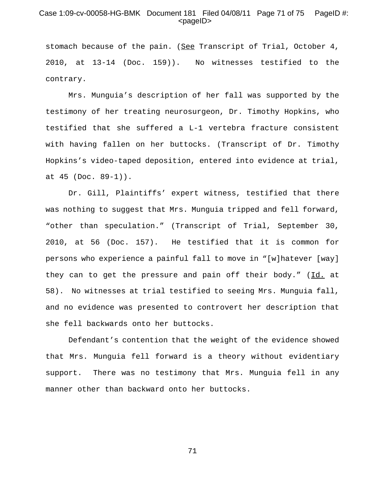# Case 1:09-cv-00058-HG-BMK Document 181 Filed 04/08/11 Page 71 of 75 PageID #:  $<$ pageID $>$

stomach because of the pain. (See Transcript of Trial, October 4, 2010, at 13-14 (Doc. 159)). No witnesses testified to the contrary.

 Mrs. Munguia's description of her fall was supported by the testimony of her treating neurosurgeon, Dr. Timothy Hopkins, who testified that she suffered a L-1 vertebra fracture consistent with having fallen on her buttocks. (Transcript of Dr. Timothy Hopkins's video-taped deposition, entered into evidence at trial, at 45 (Doc. 89-1)).

Dr. Gill, Plaintiffs' expert witness, testified that there was nothing to suggest that Mrs. Munguia tripped and fell forward, "other than speculation." (Transcript of Trial, September 30, 2010, at 56 (Doc. 157). He testified that it is common for persons who experience a painful fall to move in "[w]hatever [way] they can to get the pressure and pain off their body." (Id. at 58). No witnesses at trial testified to seeing Mrs. Munguia fall, and no evidence was presented to controvert her description that she fell backwards onto her buttocks.

Defendant's contention that the weight of the evidence showed that Mrs. Munguia fell forward is a theory without evidentiary support. There was no testimony that Mrs. Munguia fell in any manner other than backward onto her buttocks.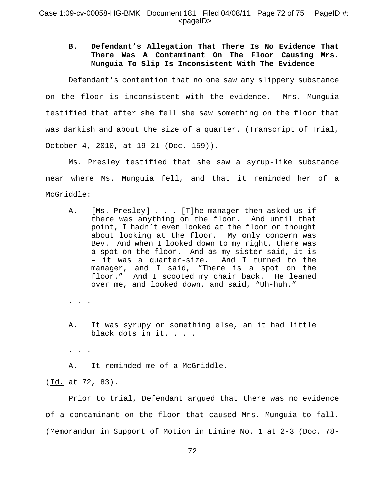# **B. Defendant's Allegation That There Is No Evidence That There Was A Contaminant On The Floor Causing Mrs. Munguia To Slip Is Inconsistent With The Evidence**

Defendant's contention that no one saw any slippery substance on the floor is inconsistent with the evidence. Mrs. Munguia testified that after she fell she saw something on the floor that was darkish and about the size of a quarter. (Transcript of Trial, October 4, 2010, at 19-21 (Doc. 159)).

Ms. Presley testified that she saw a syrup-like substance near where Ms. Munguia fell, and that it reminded her of a McGriddle:

- A. [Ms. Presley] . . . [T]he manager then asked us if there was anything on the floor. And until that point, I hadn't even looked at the floor or thought about looking at the floor. My only concern was Bev. And when I looked down to my right, there was a spot on the floor. And as my sister said, it is – it was a quarter-size. And I turned to the manager, and I said, "There is a spot on the floor." And I scooted my chair back. He leaned over me, and looked down, and said, "Uh-huh."
- . . .
- A. It was syrupy or something else, an it had little black dots in it. . . .
- . . .

A. It reminded me of a McGriddle.

(Id. at 72, 83).

Prior to trial, Defendant argued that there was no evidence of a contaminant on the floor that caused Mrs. Munguia to fall. (Memorandum in Support of Motion in Limine No. 1 at 2-3 (Doc. 78-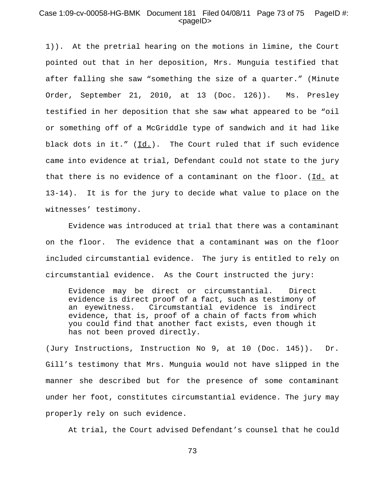## Case 1:09-cv-00058-HG-BMK Document 181 Filed 04/08/11 Page 73 of 75 PageID #: <pageID>

1)). At the pretrial hearing on the motions in limine, the Court pointed out that in her deposition, Mrs. Munguia testified that after falling she saw "something the size of a quarter." (Minute Order, September 21, 2010, at 13 (Doc. 126)). Ms. Presley testified in her deposition that she saw what appeared to be "oil or something off of a McGriddle type of sandwich and it had like black dots in it."  $(\underline{Id.})$ . The Court ruled that if such evidence came into evidence at trial, Defendant could not state to the jury that there is no evidence of a contaminant on the floor.  $(Id.$  at 13-14). It is for the jury to decide what value to place on the witnesses' testimony.

Evidence was introduced at trial that there was a contaminant on the floor. The evidence that a contaminant was on the floor included circumstantial evidence. The jury is entitled to rely on circumstantial evidence. As the Court instructed the jury:

Evidence may be direct or circumstantial. Direct evidence is direct proof of a fact, such as testimony of an eyewitness. Circumstantial evidence is indirect evidence, that is, proof of a chain of facts from which you could find that another fact exists, even though it has not been proved directly.

(Jury Instructions, Instruction No 9, at 10 (Doc. 145)). Dr. Gill's testimony that Mrs. Munguia would not have slipped in the manner she described but for the presence of some contaminant under her foot, constitutes circumstantial evidence. The jury may properly rely on such evidence.

At trial, the Court advised Defendant's counsel that he could

73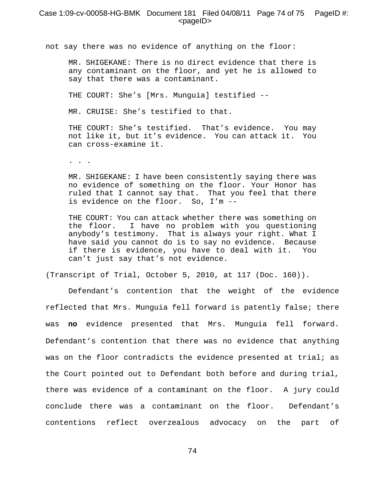## Case 1:09-cv-00058-HG-BMK Document 181 Filed 04/08/11 Page 74 of 75 PageID #: <pageID>

not say there was no evidence of anything on the floor:

MR. SHIGEKANE: There is no direct evidence that there is any contaminant on the floor, and yet he is allowed to say that there was a contaminant.

THE COURT: She's [Mrs. Munguia] testified --

MR. CRUISE: She's testified to that.

THE COURT: She's testified. That's evidence. You may not like it, but it's evidence. You can attack it. You can cross-examine it.

. . .

MR. SHIGEKANE: I have been consistently saying there was no evidence of something on the floor. Your Honor has ruled that I cannot say that. That you feel that there is evidence on the floor. So, I'm --

THE COURT: You can attack whether there was something on the floor. I have no problem with you questioning anybody's testimony. That is always your right. What I have said you cannot do is to say no evidence. Because if there is evidence, you have to deal with it. You can't just say that's not evidence.

(Transcript of Trial, October 5, 2010, at 117 (Doc. 160)).

Defendant's contention that the weight of the evidence reflected that Mrs. Munguia fell forward is patently false; there was **no** evidence presented that Mrs. Munguia fell forward. Defendant's contention that there was no evidence that anything was on the floor contradicts the evidence presented at trial; as the Court pointed out to Defendant both before and during trial, there was evidence of a contaminant on the floor. A jury could conclude there was a contaminant on the floor. Defendant's contentions reflect overzealous advocacy on the part of

74